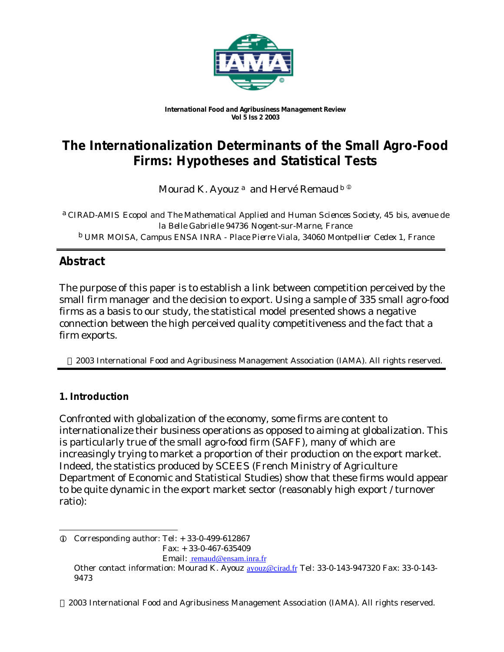

*International Food and Agribusiness Management Review Vol 5 Iss 2 2003*

# **The Internationalization Determinants of the Small Agro-Food Firms: Hypotheses and Statistical Tests**

Mourad K. Ayouz  $a$  and Hervé Remaud  $b \Phi$ 

a *CIRAD-AMIS Ecopol and The Mathematical Applied and Human Sciences Society, 45 bis, avenue de la Belle Gabrielle 94736 Nogent-sur-Marne, France* b *UMR MOISA, Campus ENSA INRA - Place Pierre Viala, 34060 Montpellier Cedex 1, France*

# **Abstract**

The purpose of this paper is to establish a link between competition perceived by the small firm manager and the decision to export. Using a sample of 335 small agro-food firms as a basis to our study, the statistical model presented shows a negative connection between the high perceived quality competitiveness and the fact that a firm exports.

2003 International Food and Agribusiness Management Association (IAMA). All rights reserved.

# **1. Introduction**

Confronted with globalization of the economy, some firms are content to internationalize their business operations as opposed to aiming at globalization. This is particularly true of the small agro-food firm (SAFF), many of which are increasingly trying to market a proportion of their production on the export market. Indeed, the statistics produced by SCEES (French Ministry of Agriculture Department of Economic and Statistical Studies) show that these firms would appear to be quite dynamic in the export market sector (reasonably high export / turnover ratio):

l  $Q$  Corresponding author: Tel:  $+ 33-0-499-612867$  Fax: + 33-0-467-635409 Email: remaud@ensam.inra.fr Other contact information: Mourad K. Ayouz avouz@cirad.fr Tel: 33-0-143-947320 Fax: 33-0-143-9473

2003 International Food and Agribusiness Management Association (IAMA). All rights reserved.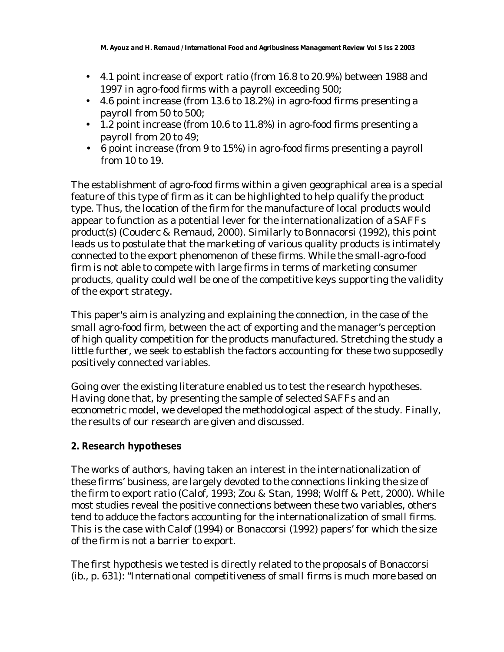- 4.1 point increase of export ratio (from 16.8 to 20.9%) between 1988 and 1997 in agro-food firms with a payroll exceeding 500;
- 4.6 point increase (from 13.6 to  $18.2\%$ ) in agro-food firms presenting a payroll from 50 to 500;
- 1.2 point increase (from 10.6 to 11.8%) in agro-food firms presenting a payroll from 20 to 49;
- 6 point increase (from 9 to 15%) in agro-food firms presenting a payroll from 10 to 19.

The establishment of agro-food firms within a given geographical area is a special feature of this type of firm as it can be highlighted to help qualify the product type. Thus, the location of the firm for the manufacture of local products would appear to function as a potential lever for the internationalization of a SAFFs product(s) (Couderc & Remaud, 2000). Similarly to Bonnacorsi (1992), this point leads us to postulate that the marketing of various quality products is intimately connected to the export phenomenon of these firms. While the small-agro-food firm is not able to compete with large firms in terms of marketing consumer products, quality could well be one of the competitive keys supporting the validity of the export strategy.

This paper's aim is analyzing and explaining the connection, in the case of the small agro-food firm, between the act of exporting and the manager's perception of high quality competition for the products manufactured. Stretching the study a little further, we seek to establish the factors accounting for these two supposedly positively connected variables.

Going over the existing literature enabled us to test the research hypotheses. Having done that, by presenting the sample of selected SAFFs and an econometric model, we developed the methodological aspect of the study. Finally, the results of our research are given and discussed.

# **2. Research hypotheses**

The works of authors, having taken an interest in the internationalization of these firms' business, are largely devoted to the connections linking the size of the firm to export ratio (Calof, 1993; Zou & Stan, 1998; Wolff & Pett, 2000). While most studies reveal the positive connections between these two variables, others tend to adduce the factors accounting for the internationalization of small firms. This is the case with Calof (1994) or Bonaccorsi (1992) papers' for which the size of the firm is not a barrier to export.

The first hypothesis we tested is directly related to the proposals of Bonaccorsi (*ib*., p. 631): "*International competitiveness of small firms is much more based on*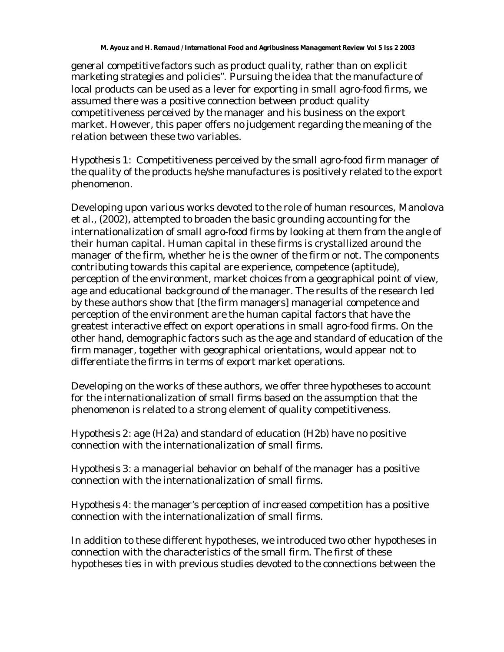#### *M. Ayouz and H. Remaud / International Food and Agribusiness Management Review Vol 5 Iss 2 2003*

*general competitive factors such as product quality, rather than on explicit marketing strategies and policies".* Pursuing the idea that the manufacture of local products can be used as a lever for exporting in small agro-food firms, we assumed there was a positive connection between product quality competitiveness perceived by the manager and his business on the export market. However, this paper offers no judgement regarding the meaning of the relation between these two variables.

*Hypothesis 1*: Competitiveness perceived by the small agro-food firm manager of the quality of the products he/she manufactures is positively related to the export phenomenon.

Developing upon various works devoted to the role of human resources, Manolova et al., (2002), attempted to broaden the basic grounding accounting for the internationalization of small agro-food firms by looking at them from the angle of their human capital. Human capital in these firms is crystallized around the manager of the firm, whether he is the owner of the firm or not. The components contributing towards this capital are experience, competence (aptitude), perception of the environment, market choices from a geographical point of view, age and educational background of the manager. The results of the research led by these authors show that [the firm managers] managerial competence and perception of the environment are the human capital factors that have the greatest interactive effect on export operations in small agro-food firms. On the other hand, demographic factors such as the age and standard of education of the firm manager, together with geographical orientations, would appear not to differentiate the firms in terms of export market operations.

Developing on the works of these authors, we offer three hypotheses to account for the internationalization of small firms based on the assumption that the phenomenon is related to a strong element of quality competitiveness.

*Hypothesis 2*: age (H2a) and standard of education (H2b) have no positive connection with the internationalization of small firms.

*Hypothesis 3*: a managerial behavior on behalf of the manager has a positive connection with the internationalization of small firms.

*Hypothesis 4*: the manager's perception of increased competition has a positive connection with the internationalization of small firms.

In addition to these different hypotheses, we introduced two other hypotheses in connection with the characteristics of the small firm. The first of these hypotheses ties in with previous studies devoted to the connections between the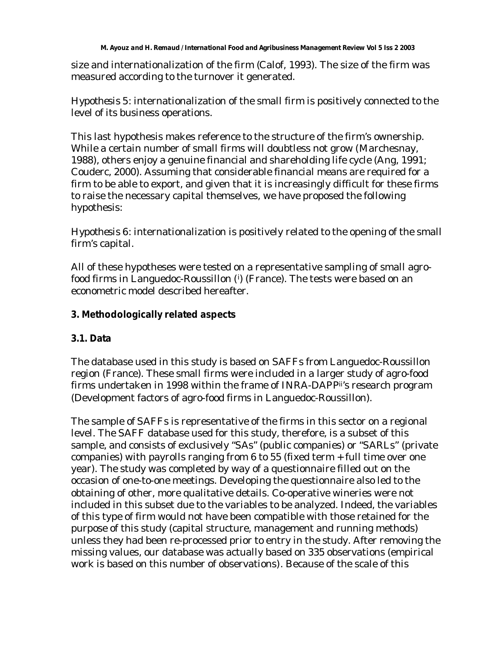size and internationalization of the firm (Calof, 1993). The size of the firm was measured according to the turnover it generated.

*Hypothesis 5*: internationalization of the small firm is positively connected to the level of its business operations.

This last hypothesis makes reference to the structure of the firm's ownership. While a certain number of small firms will doubtless not grow (Marchesnay, 1988), others enjoy a genuine financial and shareholding life cycle (Ang, 1991; Couderc, 2000). Assuming that considerable financial means are required for a firm to be able to export, and given that it is increasingly difficult for these firms to raise the necessary capital themselves, we have proposed the following hypothesis:

*Hypothesis 6*: internationalization is positively related to the opening of the small firm's capital.

All of these hypotheses were tested on a representative sampling of small agrofood firms in Languedoc-Roussillon (<sup>i</sup> ) (France). The tests were based on an econometric model described hereafter.

# **3. Methodologically related aspects**

# **3.1. Data**

The database used in this study is based on SAFFs from Languedoc-Roussillon region (France). These small firms were included in a larger study of agro-food firms undertaken in 1998 within the frame of INRA-DAPPii's research program (Development factors of agro-food firms in Languedoc-Roussillon).

The sample of SAFFs is representative of the firms in this sector on a regional level. The SAFF database used for this study, therefore, is a subset of this sample, and consists of exclusively "SAs" (public companies) or "SARLs" (private companies) with payrolls ranging from 6 to 55 (fixed term + full time over one year). The study was completed by way of a questionnaire filled out on the occasion of one-to-one meetings. Developing the questionnaire also led to the obtaining of other, more qualitative details. Co-operative wineries were not included in this subset due to the variables to be analyzed. Indeed, the variables of this type of firm would not have been compatible with those retained for the purpose of this study (capital structure, management and running methods) unless they had been re-processed prior to entry in the study. After removing the missing values, our database was actually based on 335 observations (empirical work is based on this number of observations). Because of the scale of this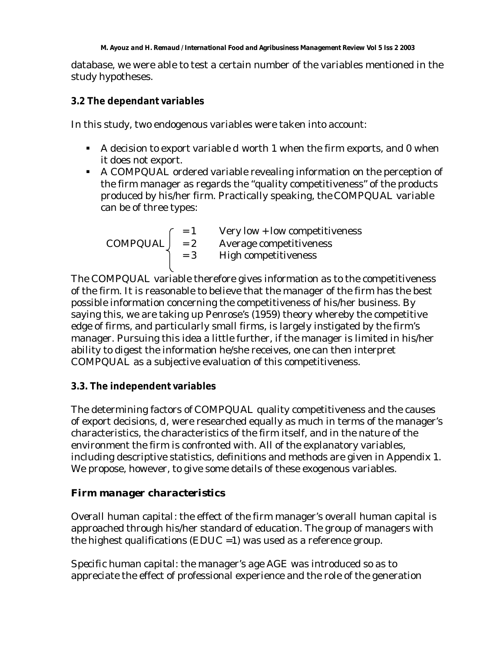database, we were able to test a certain number of the variables mentioned in the study hypotheses.

# **3.2 The dependant variables**

In this study, two endogenous variables were taken into account:

- A decision to export variable *d* worth 1 when the firm exports, and 0 when it does not export.
- A *COMPQUAL* ordered variable revealing information on the perception of the firm manager as regards the "quality competitiveness" of the products produced by his/her firm. Practically speaking, the *COMPQUAL* variable can be of three types:

= 1 Very low + low competitiveness *COMPQUAL* = 2 Average competitiveness = 3 High competitiveness

The *COMPQUAL* variable therefore gives information as to the competitiveness of the firm. It is reasonable to believe that the manager of the firm has the best possible information concerning the competitiveness of his/her business. By saying this, we are taking up Penrose's (1959) theory whereby the competitive edge of firms, and particularly small firms, is largely instigated by the firm's manager. Pursuing this idea a little further, if the manager is limited in his/her ability to digest the information he/she receives, one can then interpret *COMPQUAL* as a subjective evaluation of this competitiveness.

# **3.3. The independent variables**

The determining factors of *COMPQUAL* quality competitiveness and the causes of export decisions, *d,* were researched equally as much in terms of the manager's characteristics, the characteristics of the firm itself, and in the nature of the environment the firm is confronted with. All of the explanatory variables, including descriptive statistics, definitions and methods are given in Appendix 1. We propose, however, to give some details of these exogenous variables.

# *Firm manager characteristics*

*Overall human capital*: the effect of the firm manager's overall human capital is approached through his/her standard of education. The group of managers with the highest qualifications (*EDUC =1*) was used as a reference group.

*Specific human capital*: the manager's age *AGE* was introduced so as to appreciate the effect of professional experience and the role of the generation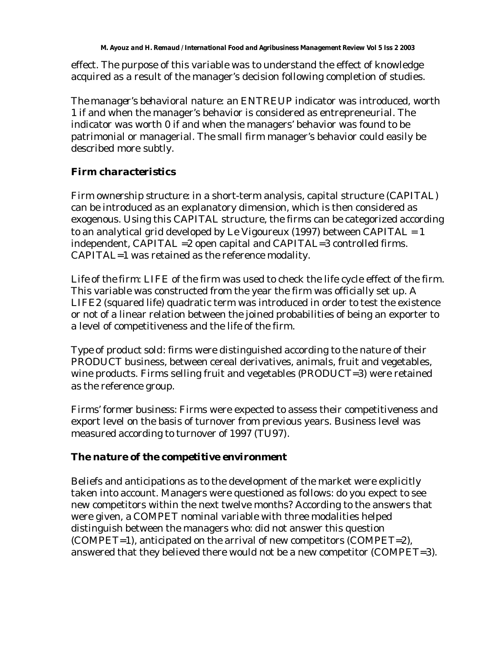effect. The purpose of this variable was to understand the effect of knowledge acquired as a result of the manager's decision following completion of studies.

*The manager's behavioral nature*: an *ENTREUP* indicator was introduced, worth 1 if and when the manager's behavior is considered as entrepreneurial. The indicator was worth 0 if and when the managers' behavior was found to be patrimonial or managerial. The small firm manager's behavior could easily be described more subtly.

# *Firm characteristics*

*Firm ownership structure*: in a short-term analysis, capital structure (*CAPITAL*) can be introduced as an explanatory dimension, which is then considered as exogenous. Using this CAPITAL structure, the firms can be categorized according to an analytical grid developed by Le Vigoureux (1997) between *CAPITAL = 1* independent, *CAPITAL =2* open capital and *CAPITAL=3* controlled firms. *CAPITAL=1* was retained as the reference modality.

*Life of the firm*: *LIFE* of the firm was used to check the life cycle effect of the firm. This variable was constructed from the year the firm was officially set up. A *LIFE2* (squared life) quadratic term was introduced in order to test the existence or not of a linear relation between the joined probabilities of being an exporter to a level of competitiveness and the life of the firm.

*Type of product sold:* firms were distinguished according to the nature of their *PRODUCT* business, between cereal derivatives, animals, fruit and vegetables, wine products. Firms selling fruit and vegetables (*PRODUCT=3*) were retained as the reference group.

*Firms' former business*: Firms were expected to assess their competitiveness and export level on the basis of turnover from previous years. Business level was measured according to turnover of 1997 (*TU97*).

#### *The nature of the competitive environment*

Beliefs and anticipations as to the development of the market were explicitly taken into account. Managers were questioned as follows: do you expect to see new competitors within the next twelve months? According to the answers that were given, a *COMPET* nominal variable with three modalities helped distinguish between the managers who: did not answer this question (*COMPET=1*), anticipated on the arrival of new competitors (*COMPET=2*), answered that they believed there would not be a new competitor (*COMPET=3*).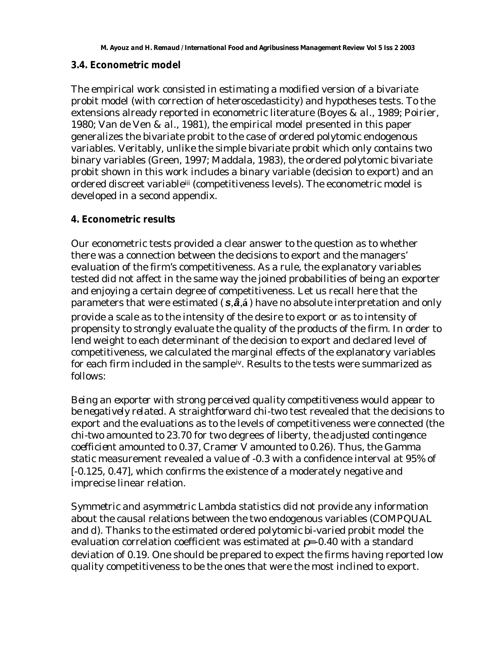#### **3.4. Econometric model**

The empirical work consisted in estimating a modified version of a bivariate probit model (with correction of heteroscedasticity) and hypotheses tests. To the extensions already reported in econometric literature (Boyes & *al*., 1989; Poirier, 1980; Van de Ven & *al*., 1981), the empirical model presented in this paper generalizes the bivariate probit to the case of ordered polytomic endogenous variables. Veritably, unlike the simple bivariate probit which only contains two binary variables (Green, 1997; Maddala, 1983), the ordered polytomic bivariate probit shown in this work includes a binary variable (decision to export) and an ordered discreet variableiii (competitiveness levels). The econometric model is developed in a second appendix.

## **4. Econometric results**

Our econometric tests provided a clear answer to the question as to whether there was a connection between the decisions to export and the managers' evaluation of the firm's competitiveness. As a rule, the explanatory variables tested did not affect in the same way the joined probabilities of being an exporter and enjoying a certain degree of competitiveness. Let us recall here that the parameters that were estimated ( *s*,*â*,**á**) have no absolute interpretation and only provide a scale as to the intensity of the desire to export or as to intensity of propensity to strongly evaluate the quality of the products of the firm. In order to lend weight to each determinant of the decision to export and declared level of competitiveness, we calculated the marginal effects of the explanatory variables for each firm included in the sample<sup>iv</sup>. Results to the tests were summarized as follows:

*Being an exporter with strong perceived quality competitiveness would appear to be negatively related*. A straightforward *chi-two* test revealed that the decisions to export and the evaluations as to the levels of competitiveness were connected (the *chi-two* amounted to 23.70 for two degrees of liberty, the *adjusted contingence coefficient* amounted to 0.37, *Cramer V* amounted to 0.26). Thus, the *Gamma static* measurement revealed a value of -0.3 with a confidence interval at 95% of [-0.125, 0.47], which confirms the existence of a moderately negative and imprecise linear relation.

*Symmetric and asymmetric Lambda* statistics did not provide any information about the causal relations between the two endogenous variables (*COMPQUAL* and *d*). Thanks to the estimated ordered polytomic bi-varied probit model the evaluation correlation coefficient was estimated at *r=-0.40* with a standard deviation of 0.19. One should be prepared to expect the firms having reported low quality competitiveness to be the ones that were the most inclined to export.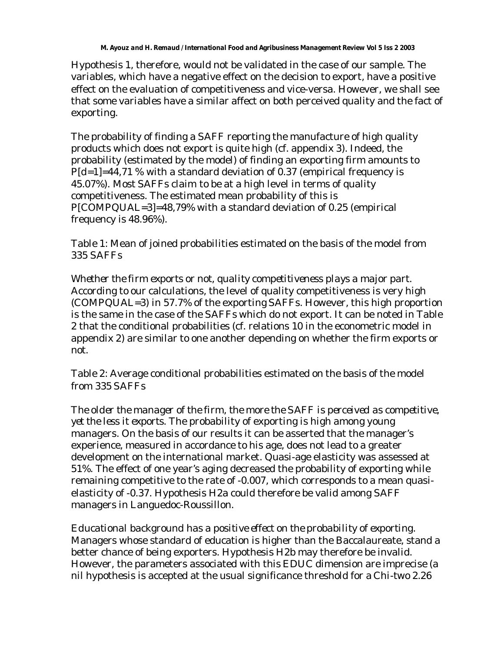Hypothesis 1, therefore, would not be validated in the case of our sample. The variables, which have a negative effect on the decision to export, have a positive effect on the evaluation of competitiveness and vice-versa. However, we shall see that some variables have a similar affect on both perceived quality and the fact of exporting.

The probability of finding a SAFF reporting the manufacture of high quality products which does not export is quite high (cf. appendix 3). Indeed, the probability (estimated by the model) of finding an exporting firm amounts to *P[d=1]=44,71 %* with a standard deviation of 0.37 (empirical frequency is 45.07%). Most SAFFs claim to be at a high level in terms of quality competitiveness. The estimated mean probability of this is *P[COMPQUAL=3]=48,79%* with a standard deviation of 0.25 (empirical frequency is 48.96%).

Table 1: Mean of joined probabilities estimated on the basis of the model from 335 SAFFs

*Whether the firm exports or not, quality competitiveness plays a major part*. According to our calculations, the level of quality competitiveness is very high (*COMPQUAL=3*) in 57.7% of the exporting SAFFs. However, this high proportion is the same in the case of the SAFFs which do not export. It can be noted in Table 2 that the conditional probabilities (cf. relations 10 in the econometric model in appendix 2) are similar to one another depending on whether the firm exports or not.

Table 2: Average conditional probabilities estimated on the basis of the model from 335 SAFFs

*The older the manager of the firm, the more the SAFF is perceived as competitive, yet the less it exports*. The probability of exporting is high among young managers. On the basis of our results it can be asserted that the manager's experience, measured in accordance to his age, does not lead to a greater development on the international market. Quasi-age elasticity was assessed at 51%. The effect of one year's aging decreased the probability of exporting while remaining competitive to the rate of -0.007, which corresponds to a mean quasielasticity of -0.37. Hypothesis H2a could therefore be valid among SAFF managers in Languedoc-Roussillon.

*Educational background has a positive effect on the probability of exporting*. Managers whose standard of education is higher than the Baccalaureate, stand a better chance of being exporters. Hypothesis H2b may therefore be invalid. However, the parameters associated with this *EDUC* dimension are imprecise (a nil hypothesis is accepted at the usual significance threshold for a *Chi-two* 2.26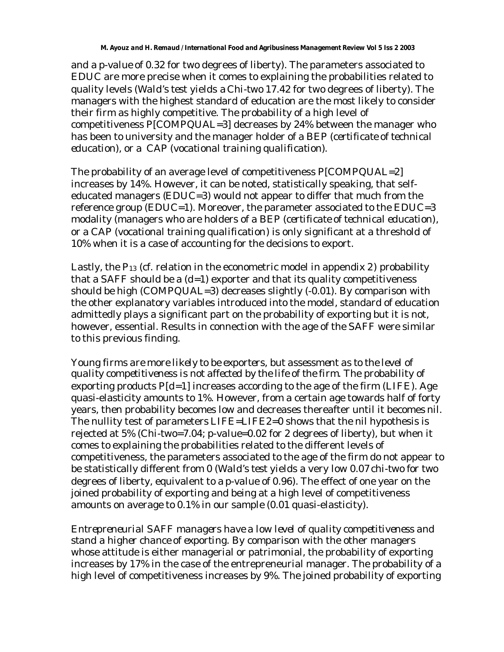and a *p-value* of 0.32 for two degrees of liberty). The parameters associated to *EDUC* are more precise when it comes to explaining the probabilities related to quality levels (*Wald's test* yields a *Chi-two* 17.42 for two degrees of liberty). The managers with the highest standard of education are the most likely to consider their firm as highly competitive. The probability of a high level of competitiveness *P[COMPQUAL=3]* decreases by 24% between the manager who has been to university and the manager holder of a BEP (*certificate of technical education*), or a CAP (*vocational training qualification*).

The probability of an average level of competitiveness *P[COMPQUAL=2]* increases by 14%. However, it can be noted, statistically speaking, that selfeducated managers (*EDUC=3*) would not appear to differ that much from the reference group *(EDUC=1)*. Moreover, the parameter associated to the *EDUC=*3 modality (managers who are holders of a BEP (*certificate of technical education*), or a CAP (*vocational training qualification*) is only significant at a threshold of 10% when it is a case of accounting for the decisions to export.

Lastly, the *P13* (cf. relation in the econometric model in appendix 2) probability that a SAFF should be a (*d=1)* exporter and that its quality competitiveness should be high (*COMPQUAL=3*) decreases slightly (-0.01). By comparison with the other explanatory variables introduced into the model, standard of education admittedly plays a significant part on the probability of exporting but it is not, however, essential. Results in connection with the age of the SAFF were similar to this previous finding.

*Young firms are more likely to be exporters, but assessment as to the level of quality competitiveness is not affected by the life of the firm*. The probability of exporting products *P[d=1]* increases according to the age of the firm (*LIFE*). Age quasi-elasticity amounts to 1%. However, from a certain age towards half of forty years, then probability becomes low and decreases thereafter until it becomes nil. The nullity test of parameters *LIFE=LIFE2=0* shows that the nil hypothesis is rejected at 5% (*Chi-two=7.04; p-value=0.02* for 2 degrees of liberty), but when it comes to explaining the probabilities related to the different levels of competitiveness, the parameters associated to the age of the firm do not appear to be statistically different from 0 (*Wald's test* yields a very low 0.07 *chi-two* for two degrees of liberty, equivalent to a *p-value* of 0.96). The effect of one year on the joined probability of exporting and being at a high level of competitiveness amounts on average to 0.1% in our sample (0.01 quasi-elasticity).

*Entrepreneurial SAFF managers have a low level of quality competitiveness and stand a higher chance of exporting*. By comparison with the other managers whose attitude is either managerial or patrimonial, the probability of exporting increases by 17% in the case of the entrepreneurial manager. The probability of a high level of competitiveness increases by 9%. The joined probability of exporting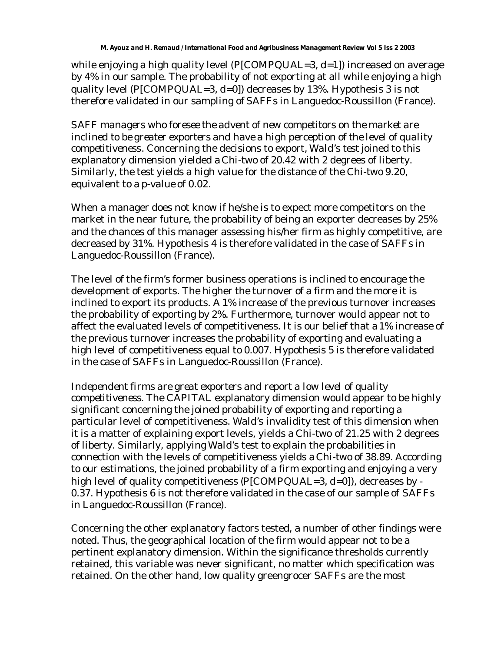while enjoying a high quality level (*P[COMPQUAL=3, d=1]*) increased on average by 4% in our sample. The probability of not exporting at all while enjoying a high quality level (*P[COMPQUAL=3, d=0]*) decreases by 13%. Hypothesis 3 is not therefore validated in our sampling of SAFFs in Languedoc-Roussillon (France).

*SAFF managers who foresee the advent of new competitors on the market are inclined to be greater exporters and have a high perception of the level of quality competitiveness*. Concerning the decisions to export, *Wald's test* joined to this explanatory dimension yielded a *Chi-two* of 20.42 with 2 degrees of liberty. Similarly, the test yields a high value for the distance of the *Chi-two* 9.20, equivalent to a *p-value* of 0.02.

When a manager does not know if he/she is to expect more competitors on the market in the near future, the probability of being an exporter decreases by 25% and the chances of this manager assessing his/her firm as highly competitive, are decreased by 31%. Hypothesis 4 is therefore validated in the case of SAFFs in Languedoc-Roussillon (France).

The level of the firm's former business operations is inclined to encourage the development of exports. The higher the turnover of a firm and the more it is inclined to export its products. A 1% increase of the previous turnover increases the probability of exporting by 2%. Furthermore, turnover would appear not to affect the evaluated levels of competitiveness. It is our belief that a 1% increase of the previous turnover increases the probability of exporting and evaluating a high level of competitiveness equal to 0.007. Hypothesis 5 is therefore validated in the case of SAFFs in Languedoc-Roussillon (France).

*Independent firms are great exporters and report a low level of quality competitiveness.* The CAPITAL explanatory dimension would appear to be highly significant concerning the joined probability of exporting and reporting a particular level of competitiveness. *Wald's* invalidity test of this dimension when it is a matter of explaining export levels, yields a *Chi-two* of 21.25 with 2 degrees of liberty. Similarly, applying *Wald's* test to explain the probabilities in connection with the levels of competitiveness yields a *Chi-two* of 38.89. According to our estimations, the joined probability of a firm exporting and enjoying a very high level of quality competitiveness (*P[COMPQUAL=3, d=0]*), decreases by - 0.37. Hypothesis 6 is not therefore validated in the case of our sample of SAFFs in Languedoc-Roussillon (France).

Concerning the other explanatory factors tested, a number of other findings were noted. Thus, the geographical location of the firm would appear not to be a pertinent explanatory dimension. Within the significance thresholds currently retained, this variable was never significant, no matter which specification was retained. On the other hand, low quality greengrocer SAFFs are the most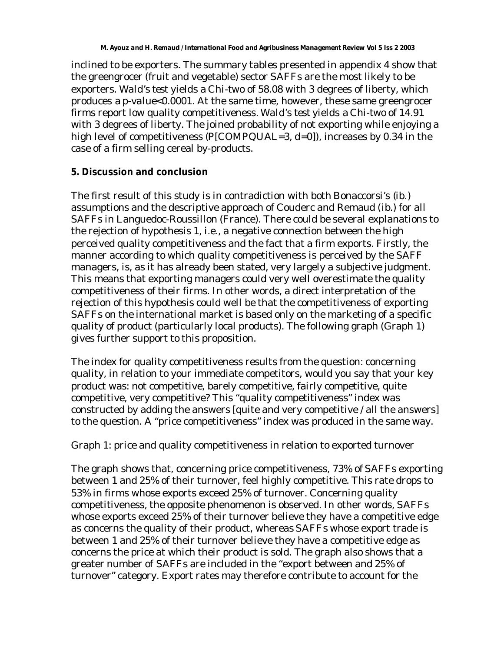inclined to be exporters. The summary tables presented in appendix 4 show that the greengrocer (fruit and vegetable) sector SAFFs are the most likely to be exporters. *Wald's test* yields a *Chi-two* of 58.08 with 3 degrees of liberty, which produces a *p-value<0.0001*. At the same time, however, these same greengrocer firms report low quality competitiveness. *Wald's test* yields a *Chi-two* of 14.91 with 3 degrees of liberty. The joined probability of not exporting while enjoying a high level of competitiveness (*P[COMPQUAL=3, d=0]*), increases by 0.34 in the case of a firm selling cereal by-products.

## **5. Discussion and conclusion**

The first result of this study is in contradiction with both Bonaccorsi's (*ib*.) assumptions and the descriptive approach of Couderc and Remaud (*ib*.) for all SAFFs in Languedoc-Roussillon (France). There could be several explanations to the rejection of hypothesis 1, i.e., a negative connection between the high perceived quality competitiveness and the fact that a firm exports. Firstly, the manner according to which quality competitiveness is perceived by the SAFF managers, is, as it has already been stated, very largely a subjective judgment. This means that exporting managers could very well overestimate the quality competitiveness of their firms. In other words, a direct interpretation of the rejection of this hypothesis could well be that the competitiveness of exporting SAFFs on the international market is based only on the marketing of a specific quality of product (particularly local products). The following graph (Graph 1) gives further support to this proposition.

The index for quality competitiveness results from the question: concerning quality, in relation to your immediate competitors, would you say that your key product was: not competitive, barely competitive, fairly competitive, quite competitive, very competitive? This "quality competitiveness" index was constructed by adding the answers [quite and very competitive / all the answers] to the question. A "price competitiveness" index was produced in the same way.

Graph 1: price and quality competitiveness in relation to exported turnover

The graph shows that, concerning price competitiveness, 73% of SAFFs exporting between 1 and 25% of their turnover, feel highly competitive. This rate drops to 53% in firms whose exports exceed 25% of turnover. Concerning quality competitiveness, the opposite phenomenon is observed. In other words, SAFFs whose exports exceed 25% of their turnover believe they have a competitive edge as concerns the quality of their product, whereas SAFFs whose export trade is between 1 and 25% of their turnover believe they have a competitive edge as concerns the price at which their product is sold. The graph also shows that a greater number of SAFFs are included in the "export between and 25% of turnover" category. Export rates may therefore contribute to account for the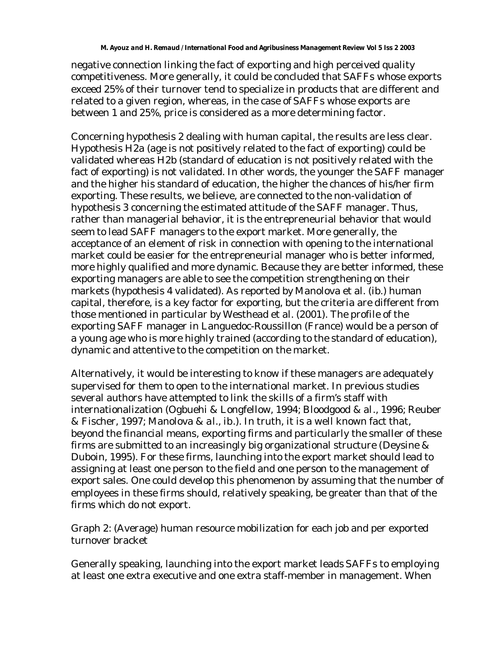negative connection linking the fact of exporting and high perceived quality competitiveness. More generally, it could be concluded that SAFFs whose exports exceed 25% of their turnover tend to specialize in products that are different and related to a given region, whereas, in the case of SAFFs whose exports are between 1 and 25%, price is considered as a more determining factor.

Concerning hypothesis 2 dealing with human capital, the results are less clear. Hypothesis H2a (age is not positively related to the fact of exporting) could be validated whereas H2b (standard of education is not positively related with the fact of exporting) is not validated. In other words, the younger the SAFF manager and the higher his standard of education, the higher the chances of his/her firm exporting. These results, we believe, are connected to the non-validation of hypothesis 3 concerning the estimated attitude of the SAFF manager. Thus, rather than managerial behavior, it is the entrepreneurial behavior that would seem to lead SAFF managers to the export market. More generally, the acceptance of an element of risk in connection with opening to the international market could be easier for the entrepreneurial manager who is better informed, more highly qualified and more dynamic. Because they are better informed, these exporting managers are able to see the competition strengthening on their markets (hypothesis 4 validated). As reported by Manolova et al. (ib.) human capital, therefore, is a key factor for exporting, but the criteria are different from those mentioned in particular by Westhead et al. (2001). The profile of the exporting SAFF manager in Languedoc-Roussillon (France) would be a person of a young age who is more highly trained (according to the standard of education), dynamic and attentive to the competition on the market.

Alternatively, it would be interesting to know if these managers are adequately supervised for them to open to the international market. In previous studies several authors have attempted to link the skills of a firm's staff with internationalization (Ogbuehi & Longfellow, 1994; Bloodgood & *al*., 1996; Reuber & Fischer, 1997; Manolova & *al*., *ib*.). In truth, it is a well known fact that, beyond the financial means, exporting firms and particularly the smaller of these firms are submitted to an increasingly big organizational structure (Deysine & Duboin, 1995). For these firms, launching into the export market should lead to assigning at least one person to the field and one person to the management of export sales. One could develop this phenomenon by assuming that the number of employees in these firms should, relatively speaking, be greater than that of the firms which do not export.

Graph 2: (Average) human resource mobilization for each job and per exported turnover bracket

Generally speaking, launching into the export market leads SAFFs to employing at least one extra executive and one extra staff-member in management. When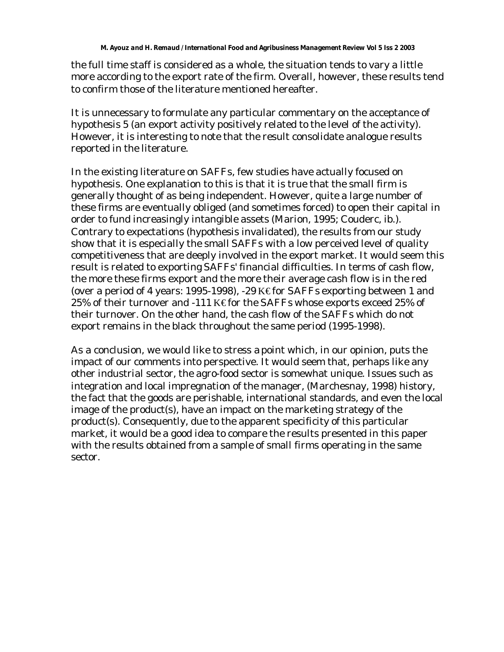the full time staff is considered as a whole, the situation tends to vary a little more according to the export rate of the firm. Overall, however, these results tend to confirm those of the literature mentioned hereafter.

It is unnecessary to formulate any particular commentary on the acceptance of hypothesis 5 (an export activity positively related to the level of the activity). However, it is interesting to note that the result consolidate analogue results reported in the literature.

In the existing literature on SAFFs, few studies have actually focused on hypothesis. One explanation to this is that it is true that the small firm is generally thought of as being independent. However, quite a large number of these firms are eventually obliged (and sometimes forced) to open their capital in order to fund increasingly intangible assets (Marion, 1995; Couderc, ib.). Contrary to expectations (hypothesis invalidated), the results from our study show that it is especially the small SAFFs with a low perceived level of quality competitiveness that are deeply involved in the export market. It would seem this result is related to exporting SAFFs' financial difficulties. In terms of cash flow, the more these firms export and the more their average cash flow is in the red (over a period of 4 years: 1995-1998), -29 K for SAFFs exporting between 1 and 25% of their turnover and -111 K€ for the SAFFs whose exports exceed 25% of their turnover. On the other hand, the cash flow of the SAFFs which do not export remains in the black throughout the same period (1995-1998).

As a conclusion, we would like to stress a point which, in our opinion, puts the impact of our comments into perspective. It would seem that, perhaps like any other industrial sector, the agro-food sector is somewhat unique. Issues such as integration and local impregnation of the manager, (Marchesnay, 1998) history, the fact that the goods are perishable, international standards, and even the local image of the product(s), have an impact on the marketing strategy of the product(s). Consequently, due to the apparent specificity of this particular market, it would be a good idea to compare the results presented in this paper with the results obtained from a sample of small firms operating in the same sector.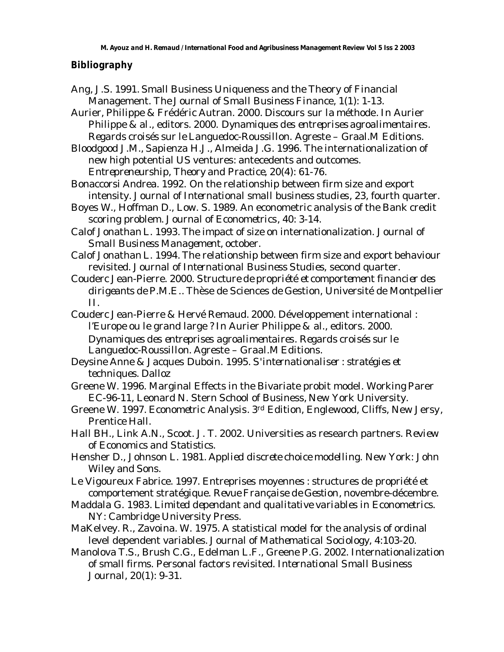#### **Bibliography**

- Ang, J.S. 1991. Small Business Uniqueness and the Theory of Financial Management. *The Journal of Small Business Finance*, 1(1): 1-13.
- Aurier, Philippe & Frédéric Autran. 2000. Discours sur la méthode. In Aurier Philippe & *al*., editors. 2000. *Dynamiques des entreprises agroalimentaires. Regards croisés sur le Languedoc-Roussillon*. Agreste – Graal.M Editions.

Bloodgood J.M., Sapienza H.J., Almeida J.G. 1996. The internationalization of new high potential US ventures: antecedents and outcomes. *Entrepreneurship, Theory and Practice,* 20(4): 61-76.

Bonaccorsi Andrea. 1992. On the relationship between firm size and export intensity. *Journal of International small business studies*, 23, fourth quarter.

- Boyes W., Hoffman D., Low. S. 1989. An econometric analysis of the Bank credit scoring problem. *Journal of Econometrics*, 40: 3-14.
- Calof Jonathan L. 1993. The impact of size on internationalization. *Journal of Small Business Management*, october.
- Calof Jonathan L. 1994. The relationship between firm size and export behaviour revisited. *Journal of International Business Studies*, second quarter.
- Couderc Jean-Pierre. 2000. *Structure de propriété et comportement financier des dirigeants de P.M.E.*. Thèse de Sciences de Gestion, Université de Montpellier II.
- Couderc Jean-Pierre & Hervé Remaud. 2000. Développement international : l'Europe ou le grand large ? In Aurier Philippe & *al*., editors. 2000. *Dynamiques des entreprises agroalimentaires. Regards croisés sur le Languedoc-Roussillon*. Agreste – Graal.M Editions.
- Deysine Anne & Jacques Duboin. 1995. *S'internationaliser : stratégies et techniques*. Dalloz
- Greene W. 1996. Marginal Effects in the Bivariate probit model. Working Parer EC-96-11, Leonard N. Stern School of Business, New York University.
- Greene W. 1997. *Econometric Analysis*. 3rd Edition, Englewood, Cliffs, New Jersy, Prentice Hall.
- Hall BH., Link A.N., Scoot. J. T. 2002. Universities as research partners. *Review of Economics and Statistics*.
- Hensher D., Johnson L. 1981. *Applied discrete choice modelling*. New York: John Wiley and Sons.
- Le Vigoureux Fabrice. 1997. Entreprises moyennes : structures de propriété et comportement stratégique. *Revue Française de Gestion*, novembre-décembre.
- Maddala G. 1983. *Limited dependant and qualitative variables in Econometrics*. NY: Cambridge University Press.
- MaKelvey. R., Zavoina. W. 1975. A statistical model for the analysis of ordinal level dependent variables. *Journal of Mathematical Sociology*, 4:103-20.
- Manolova T.S., Brush C.G., Edelman L.F., Greene P.G. 2002. Internationalization of small firms. Personal factors revisited. *International Small Business Journal*, 20(1): 9-31.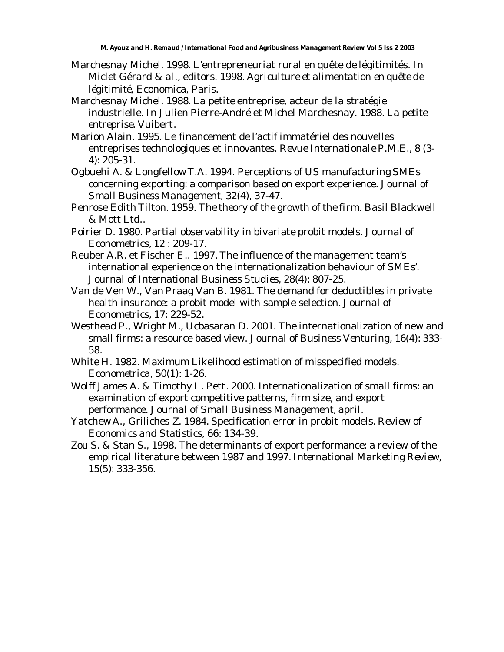- Marchesnay Michel. 1998. L'entrepreneuriat rural en quête de légitimités. In Miclet Gérard & *al*., editors. 1998. *Agriculture et alimentation en quête de légitimité*, Economica, Paris.
- Marchesnay Michel. 1988. La petite entreprise, acteur de la stratégie industrielle. In Julien Pierre-André et Michel Marchesnay. 1988. *La petite entreprise*. Vuibert.
- Marion Alain. 1995. Le financement de l'actif immatériel des nouvelles entreprises technologiques et innovantes. *Revue Internationale P.M.E.*, 8 (3- 4): 205-31.
- Ogbuehi A. & LongfellowT.A. 1994. Perceptions of US manufacturing SMEs concerning exporting: a comparison based on export experience. *Journal of Small Business Management*, 32(4), 37-47.
- Penrose Edith Tilton. 1959. *The theory of the growth of the firm*. Basil Blackwell & Mott Ltd..
- Poirier D. 1980. Partial observability in bivariate probit models. *Journal of Econometrics*, 12 : 209-17.
- Reuber A.R. et Fischer E.. 1997. The influence of the management team's international experience on the internationalization behaviour of SMEs'. *Journal of International Business Studies*, 28(4): 807-25.
- Van de Ven W., Van Praag Van B. 1981. The demand for deductibles in private health insurance: a probit model with sample selection. *Journal of Econometrics*, 17: 229-52.
- Westhead P., Wright M., Ucbasaran D. 2001. The internationalization of new and small firms: a resource based view. *Journal of Business Venturing*, 16(4): 333- 58.
- White H. 1982. Maximum Likelihood estimation of misspecified models. *Econometrica*, 50(1): 1-26.
- Wolff James A. & Timothy L. Pett. 2000. Internationalization of small firms: an examination of export competitive patterns, firm size, and export performance. *Journal of Small Business Management*, april.
- Yatchew A., Griliches Z. 1984. Specification error in probit models. *Review of Economics and Statistics*, 66: 134-39.
- Zou S. & Stan S., 1998. The determinants of export performance: a review of the empirical literature between 1987 and 1997. *International Marketing Review*, 15(5): 333-356.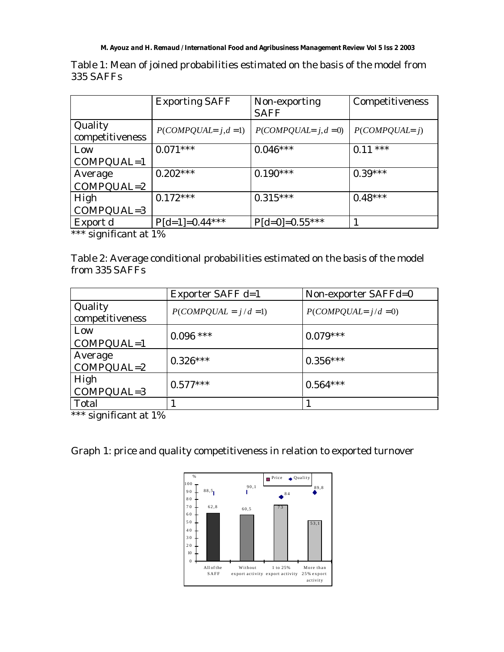#### *M. Ayouz and H. Remaud / International Food and Agribusiness Management Review Vol 5 Iss 2 2003*

|                            | <b>Exporting SAFF</b> | Non-exporting<br><b>SAFF</b> | Competitiveness   |  |  |
|----------------------------|-----------------------|------------------------------|-------------------|--|--|
| Quality<br>competitiveness | $P(COMPQUAL=j,d=1)$   | $P(COMPQUAL = j, d = 0)$     | $P(COMPQUAL = j)$ |  |  |
| Low                        | $0.071***$            | $0.046***$                   | $0.11***$         |  |  |
| $COMPQUAL=1$               |                       |                              |                   |  |  |
| Average                    | $0.202***$            | $0.190***$                   | $0.39***$         |  |  |
| $COMPQUAL=2$               |                       |                              |                   |  |  |
| High                       | $0.172***$            | $0.315***$                   | $0.48***$         |  |  |
| COMPQUAL=3                 |                       |                              |                   |  |  |
| Export d                   | $P[d=1]=0.44***$      | $P[d=0]=0.55***$             |                   |  |  |
|                            |                       |                              |                   |  |  |

Table 1: Mean of joined probabilities estimated on the basis of the model from 335 SAFFs

\*\*\* significant at 1%

Table 2: Average conditional probabilities estimated on the basis of the model from 335 SAFFs

|                            | Exporter SAFF d=1       | Non-exporter SAFFd=0    |
|----------------------------|-------------------------|-------------------------|
| Quality<br>competitiveness | $P(COMPQUAL = j/d = 1)$ | $P(COMPQUAL = j/d = 0)$ |
| Low<br>$COMPQUAL=1$        | $0.096$ ***             | $0.079***$              |
| Average<br>$COMPQUAL=2$    | $0.326***$              | $0.356***$              |
| High<br>COMPQUAL=3         | $0.577***$              | $0.564***$              |
| Total                      |                         |                         |

\*\*\* significant at 1%

Graph 1: price and quality competitiveness in relation to exported turnover

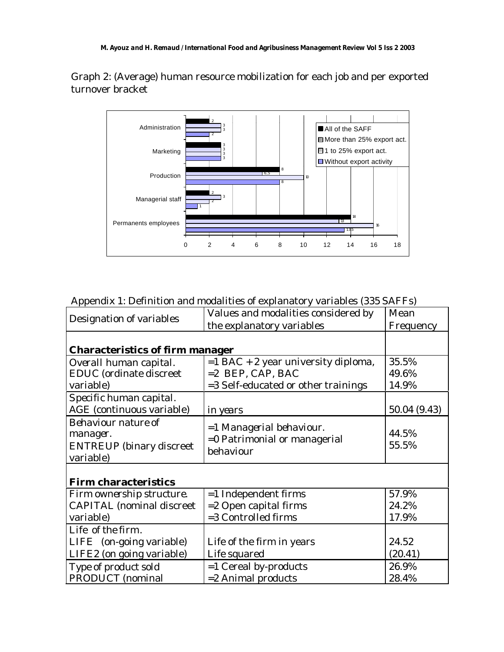Graph 2: (Average) human resource mobilization for each job and per exported turnover bracket



Appendix 1: Definition and modalities of explanatory variables (335 SAFFs)

| Designation of variables               | Values and modalities considered by   | Mean         |
|----------------------------------------|---------------------------------------|--------------|
|                                        | the explanatory variables             | Frequency    |
|                                        |                                       |              |
| <b>Characteristics of firm manager</b> |                                       |              |
| Overall human capital.                 | $=1$ BAC + 2 year university diploma, | 35.5%        |
| <b>EDUC</b> (ordinate discreet         | $=2$ BEP, CAP, BAC                    | 49.6%        |
| variable)                              | =3 Self-educated or other trainings   | 14.9%        |
| Specific human capital.                |                                       |              |
| AGE (continuous variable)              | <i>in years</i>                       | 50.04 (9.43) |
| <b>Behaviour nature of</b>             | =1 Managerial behaviour.              |              |
| manager.                               | =0 Patrimonial or managerial          | 44.5%        |
| <b>ENTREUP</b> (binary discreet        | behaviour                             | 55.5%        |
| variable)                              |                                       |              |
|                                        |                                       |              |
| <b>Firm characteristics</b>            |                                       |              |
| Firm ownership structure.              | $=1$ Independent firms                | 57.9%        |
| <b>CAPITAL</b> (nominal discreet       | $=$ 2 Open capital firms              | 24.2%        |
| variable)                              | =3 Controlled firms                   | 17.9%        |
| Life of the firm.                      |                                       |              |
| LIFE (on-going variable)               | Life of the firm in years             | 24.52        |
| LIFE2 (on going variable)              | Life squared                          | (20.41)      |
| Type of product sold                   | $=1$ Cereal by-products               | 26.9%        |
| <b>PRODUCT</b> (nominal                | $=$ 2 Animal products                 | 28.4%        |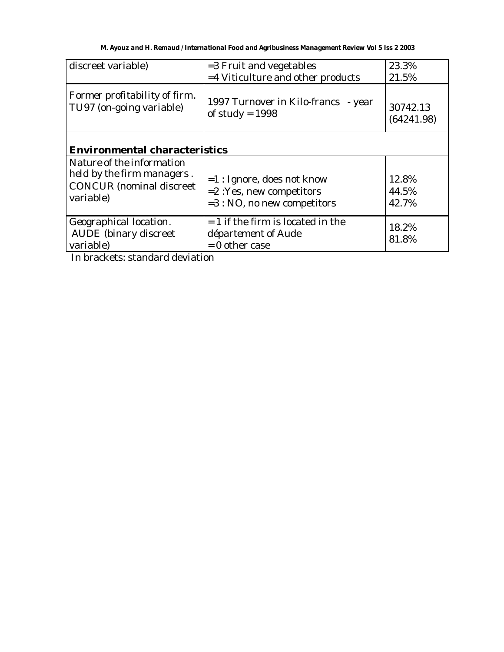| discreet variable)                                        | =3 Fruit and vegetables                                  | 23.3%                  |  |  |  |  |  |  |
|-----------------------------------------------------------|----------------------------------------------------------|------------------------|--|--|--|--|--|--|
|                                                           | =4 Viticulture and other products                        | 21.5%                  |  |  |  |  |  |  |
| Former profitability of firm.<br>TU97 (on-going variable) | 1997 Turnover in Kilo-francs - year<br>of study = $1998$ | 30742.13<br>(64241.98) |  |  |  |  |  |  |
|                                                           | <b>Environmental characteristics</b>                     |                        |  |  |  |  |  |  |
| Nature of the information                                 |                                                          |                        |  |  |  |  |  |  |
| held by the firm managers.                                | $=1:$ Ignore, does not know                              | 12.8%                  |  |  |  |  |  |  |
| <b>CONCUR</b> (nominal discreet                           | $= 2$ : Yes, new competitors                             | 44.5%                  |  |  |  |  |  |  |
| variable)                                                 | $=3:NO$ , no new competitors                             | 42.7%                  |  |  |  |  |  |  |
| Geographical location.                                    | $= 1$ if the firm is located in the                      | 18.2%                  |  |  |  |  |  |  |
| <b>AUDE</b> (binary discreet)                             | département of Aude                                      | 81.8%                  |  |  |  |  |  |  |
| variable)                                                 | $= 0$ other case                                         |                        |  |  |  |  |  |  |

In brackets: standard deviation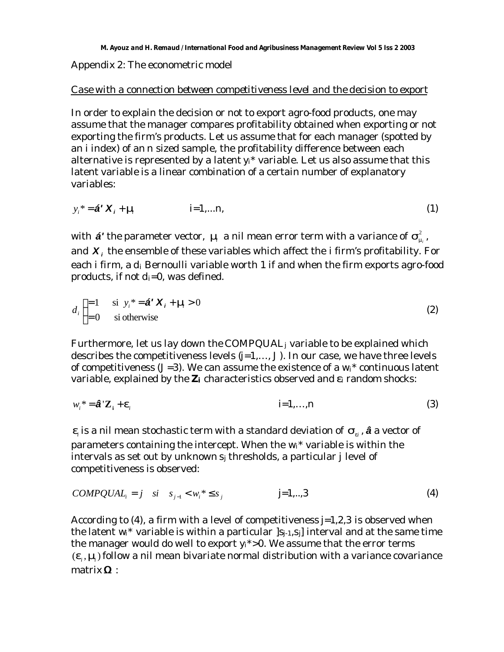Appendix 2: The econometric model

#### *Case with a connection between competitiveness level and the decision to export*

In order to explain the decision or not to export agro-food products, one may assume that the manager compares profitability obtained when exporting or not exporting the firm's products. Let us assume that for each manager (spotted by an *i* index) of an *n* sized sample, the profitability difference between each alternative is represented by a latent  $y_i^*$  variable. Let us also assume that this latent variable is a linear combination of a certain number of explanatory variables:

$$
y_i^* = \mathbf{a}^t \mathbf{X}_i + \mathbf{m} \qquad i = 1,...n,
$$
 (1)

with  $\bm{\acute{a}'}$  the parameter vector,  $\bm{m}$  a nil mean error term with a variance of  $\bm{s}_{\text{\tiny{m}^i}}^2$  , and *X <sup>i</sup>* the ensemble of these variables which affect the *i* firm's profitability. For each *i* firm, a *di* Bernoulli variable worth 1 if and when the firm exports agro-food products, if not  $d_i=0$ , was defined.

$$
d_i \begin{cases} =1 & \text{si } y_i^* = \mathbf{\hat{a}}^T \mathbf{X}_i + \mathbf{m} > 0 \\ =0 & \text{si otherwise} \end{cases}
$$
 (2)

Furthermore, let us lay down the *COMPQUALj* variable to be explained which describes the competitiveness levels (*j=1,…, J*). In our case, we have three levels of competitiveness (*J=3*). We can assume the existence of a *wi*\* continuous latent variable, explained by the *Zi* characteristics observed and *ei* random shocks:

$$
w_i^* = \hat{\mathbf{a}}^{\top} \mathbf{Z}_i + \mathbf{e}_i \tag{3}
$$

 $e_i$  is a nil mean stochastic term with a standard deviation of  $\mathcal{S}_{e_i}$ ,  $\hat{\bm{a}}$  a vector of parameters containing the intercept. When the *wi\** variable is within the intervals as set out by unknown *sj* thresholds, a particular *j* level of competitiveness is observed:

$$
COMPQUAL_i = j \quad si \quad s_{j-1} < w_i^* \le s_j \qquad \qquad j=1,..,3 \tag{4}
$$

According to (4), a firm with a level of competitiveness *j=1,2,3* is observed when the latent  $w_i^*$  variable is within a particular  $|s_{i-1}, s_i|$  interval and at the same time the manager would do well to export *yi\*>0*. We assume that the error terms  $(\bm{e}_i, \bm{m})$  follow a nil mean bivariate normal distribution with a variance covariance matrix **W** :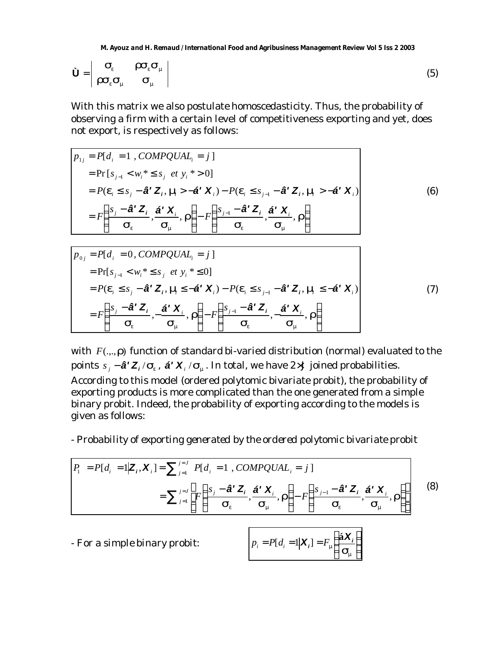*M. Ayouz and H. Remaud / International Food and Agribusiness Management Review Vol 5 Iss 2 2003*

$$
\dot{\mathbf{U}} = \begin{vmatrix} \mathbf{S}_e & \mathbf{I} \mathbf{S}_e \mathbf{S}_m \\ \mathbf{I} \mathbf{S}_e \mathbf{S}_m & \mathbf{S}_m \end{vmatrix}
$$
 (5)

With this matrix we also postulate homoscedasticity. Thus, the probability of observing a firm with a certain level of competitiveness exporting and yet, does not export, is respectively as follows:

$$
p_{1j} = P[d_i = 1, COMPQUAL_i = j]
$$
  
\n
$$
= Pr[s_{j-1} < w_i^* \le s_j \text{ et } y_i^* > 0]
$$
  
\n
$$
= P(\mathbf{e}_i \le s_j - \hat{\mathbf{a}}^T \mathbf{Z}_i, \mathbf{m} > -\hat{\mathbf{a}}^T \mathbf{X}_i) - P(\mathbf{e}_i \le s_{j-1} - \hat{\mathbf{a}}^T \mathbf{Z}_i, \mathbf{m} > -\hat{\mathbf{a}}^T \mathbf{X}_i)
$$
  
\n
$$
= F\left(\frac{s_j - \hat{\mathbf{a}}^T \mathbf{Z}_i}{\mathbf{s}_e}, \frac{\hat{\mathbf{a}}^T \mathbf{X}_i}{\mathbf{s}_m}, \mathbf{r}\right) - F\left(\frac{s_{j-1} - \hat{\mathbf{a}}^T \mathbf{Z}_i}{\mathbf{s}_e}, \frac{\hat{\mathbf{a}}^T \mathbf{X}_i}{\mathbf{s}_m}, \mathbf{r}\right)
$$
\n(6)

$$
p_{0j} = P[d_i = 0, COMPQUAL_i = j]
$$
  
\n
$$
= Pr[s_{j-1} < w_i^* \le s_j \text{ et } y_i^* \le 0]
$$
  
\n
$$
= P(\mathbf{e}_i \le s_j - \hat{\mathbf{a}}^T \mathbf{Z}_i, \mathbf{m} \le -\hat{\mathbf{a}}^T \mathbf{X}_i) - P(\mathbf{e}_i \le s_{j-1} - \hat{\mathbf{a}}^T \mathbf{Z}_i, \mathbf{m} \le -\hat{\mathbf{a}}^T \mathbf{X}_i)
$$
  
\n
$$
= F\left(\frac{s_j - \hat{\mathbf{a}}^T \mathbf{Z}_i}{\mathbf{S}_e}, -\frac{\hat{\mathbf{a}}^T \mathbf{X}_i}{\mathbf{S}_m}, \mathbf{r}\right) - F\left(\frac{s_{j-1} - \hat{\mathbf{a}}^T \mathbf{Z}_i}{\mathbf{S}_e}, -\frac{\hat{\mathbf{a}}^T \mathbf{X}_i}{\mathbf{S}_m}, \mathbf{r}\right)
$$
\n(7)

with *F*(...,*r*) function of standard bi-varied distribution (normal) evaluated to the points  $s_j - \hat{\mathbf{a}}' \mathbf{Z}_i / \mathbf{s}_e$ ,  $\hat{\mathbf{a}}' \mathbf{X}_i / \mathbf{s}_m$ . In total, we have 2 ´J joined probabilities. According to this model (ordered polytomic bivariate probit), the probability of exporting products is more complicated than the one generated from a simple binary probit. Indeed, the probability of exporting according to the models is given as follows:

- *Probability of exporting generated by the ordered polytomic bivariate probit*

$$
P_{1} = P[d_{i} = 1 | \mathbf{Z}_{i}, \mathbf{X}_{i}] = \sum_{j=1}^{j=J} P[d_{i} = 1, COMPQUAL_{i} = j]
$$

$$
= \sum_{j=1}^{j=J} \left[ F\left(\frac{s_{j} - \hat{\mathbf{a}}^{t} \mathbf{Z}_{i}}{\mathbf{s}_{e}}, \frac{\hat{\mathbf{a}}^{t} \mathbf{X}_{i}}{\mathbf{s}_{m}}, \mathbf{r}\right) - F\left(\frac{s_{j-1} - \hat{\mathbf{a}}^{t} \mathbf{Z}_{i}}{\mathbf{s}_{e}}, \frac{\hat{\mathbf{a}}^{t} \mathbf{X}_{i}}{\mathbf{s}_{m}}, \mathbf{r}\right) \right]
$$
(8)

*- For a simple binary probit:*

$$
p_i = P[d_i = 1 | \mathbf{X}_i] = F_m \left( \frac{\hat{\mathbf{a}} \mathbf{X}_i}{\mathbf{S}_m} \right)
$$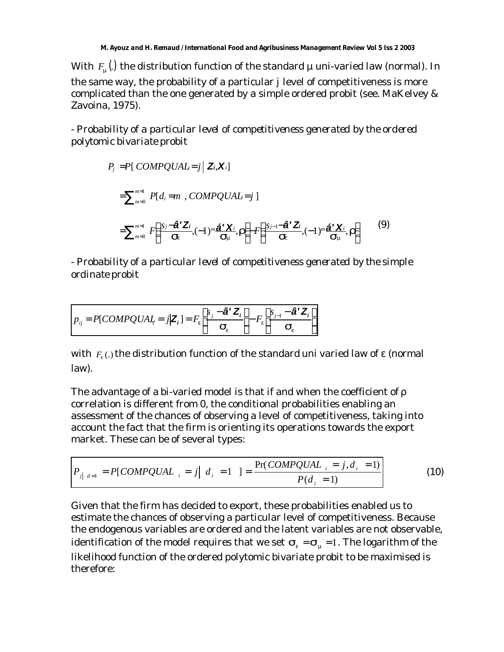With  $\mathit{F}_{_{\bm{m}}}(.)$  the distribution function of the standard  $\mu$  uni-varied law (normal). In the same way, the probability of a particular *j* level of competitiveness is more complicated than the one generated by a simple ordered probit (see. MaKelvey & Zavoina, 1975).

- *Probability of a particular level of competitiveness generated by the ordered polytomic bivariate probit*

$$
P_j = P[COMPQUAL = j | \mathbf{Z}, \mathbf{X}_i]
$$
  
\n
$$
= \sum_{m=0}^{m=1} P[d_i = m , COMPQUAL = j ]
$$
  
\n
$$
= \sum_{m=0}^{m=1} F\left(\frac{s_j - \hat{\mathbf{a}}^T \mathbf{Z}_j}{\mathbf{S}_{\mathbf{e}}}, (-1)^m \frac{\hat{\mathbf{a}}^T \mathbf{X}_i}{\mathbf{S}_{\mathbf{m}}}, \mathbf{r}\right) - F\left(\frac{s_j - \hat{\mathbf{a}}^T \mathbf{Z}_j}{\mathbf{S}_{\mathbf{e}}}, (-1)^m \frac{\hat{\mathbf{a}}^T \mathbf{X}_i}{\mathbf{S}_{\mathbf{m}}}, \mathbf{r}\right)
$$
(9)

- *Probability of a particular level of competitiveness generated by the simple ordinate probit*

$$
p_{ij} = P[COMPQUAI_r = j | \mathbf{Z}_i] = F_e \left[ \frac{s_j - \mathbf{\hat{a}}^{\prime} \mathbf{Z}_i}{\mathbf{s}_e} \right] - F_e \left[ \frac{s_{j-1} - \mathbf{\hat{a}}^{\prime} \mathbf{Z}_i}{\mathbf{s}_e} \right]
$$

with  $\,F_{\!e}$  (.) the distribution function of the standard uni varied law of  $\bm{\varepsilon}$  (normal law).

The advantage of a bi-varied model is that if and when the coefficient of ρ correlation is different from 0, the conditional probabilities enabling an assessment of the chances of observing a level of competitiveness, taking into account the fact that the firm is orienting its operations towards the export market. These can be of several types:

$$
P_{j|d=1} = P[COMPQUAL_{i} = j | d_{i} = 1] = \frac{Pr(COMPQUAL_{i} = j, d_{i} = 1)}{P(d_{i} = 1)}
$$
(10)

Given that the firm has decided to export, these probabilities enabled us to estimate the chances of observing a particular level of competitiveness. Because the endogenous variables are ordered and the latent variables are not observable, identification of the model requires that we set  $S_e = S_m = 1$ . The logarithm of the likelihood function of the ordered polytomic bivariate probit to be maximised is therefore: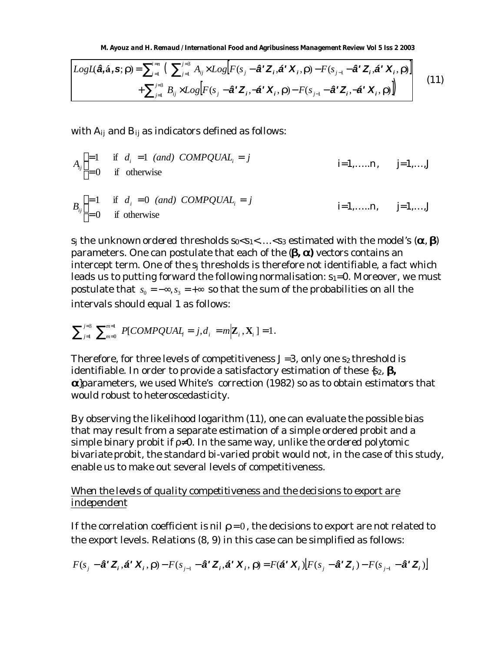*M. Ayouz and H. Remaud / International Food and Agribusiness Management Review Vol 5 Iss 2 2003*

$$
LogL(\hat{\mathbf{a}}, \hat{\mathbf{a}}, \mathbf{s}; \mathbf{r}) = \sum_{i=1}^{i=n} \left( \sum_{j=1}^{j=3} A_{ij} \times Log[F(s_j - \hat{\mathbf{a}}^{\mathsf{T}} \mathbf{Z}_i, \hat{\mathbf{a}}^{\mathsf{T}} \mathbf{X}_i, \mathbf{r}) - F(s_{j-1} - \hat{\mathbf{a}}^{\mathsf{T}} \mathbf{Z}_i, \hat{\mathbf{a}}^{\mathsf{T}} \mathbf{X}_i, \mathbf{r}) \right] + \sum_{j=1}^{j=3} B_{ij} \times Log[F(s_j - \hat{\mathbf{a}}^{\mathsf{T}} \mathbf{Z}_i, -\hat{\mathbf{a}}^{\mathsf{T}} \mathbf{X}_i, \mathbf{r}) - F(s_{j-1} - \hat{\mathbf{a}}^{\mathsf{T}} \mathbf{Z}_i, -\hat{\mathbf{a}}^{\mathsf{T}} \mathbf{X}_i, \mathbf{r})] \tag{11}
$$

with *Aij* and *Bij* as indicators defined as follows:

$$
A_{ij} =\n\begin{cases}\n=1 & \text{if } d_i = 1 \text{ (and) } \text{COMPQUAL}_i = j \\
=0 & \text{if } \text{otherwise}\n\end{cases}\n\quad i=1,\ldots,n, \quad j=1,\ldots,J
$$
\n
$$
B_{ij} =\n\begin{cases}\n=1 & \text{if } d_i = 0 \text{ (and) } \text{COMPQUAL}_i = j \\
=0 & \text{if } \text{otherwise}\n\end{cases}\n\quad i=1,\ldots,n, \quad j=1,\ldots,J
$$

*s*<sub>*j*</sub> the unknown *ordered* thresholds  $s_0 < s_1 < ... < s_3$  estimated with the model's (**a**, **b**) parameters. One can postulate that each of the (*b, a)* vectors contains an intercept term. One of the *sj* thresholds is therefore not identifiable, a fact which leads us to putting forward the following normalisation: *s1=0*. Moreover, we must postulate that  $s_0 = -\infty$ ,  $s_3 = +\infty$  so that the sum of the probabilities on all the intervals should equal 1 as follows:

$$
\sum\nolimits_{j=1}^{j=3}\ \sum\nolimits_{m=0}^{m=1}\ P[COMPQUAL_j=j,d_i]=m\Big|\mathbf{Z}_i\,,\mathbf{X}_i\ ]=1.
$$

Therefore, for three levels of competitiveness *J=3*, only one *s<sup>2</sup>* threshold is identifiable. In order to provide a satisfactory estimation of these {*s2*, *b,* **a**}parameters, we used White's correction (1982) so as to obtain estimators that would robust to heteroscedasticity.

By observing the likelihood logarithm (11), one can evaluate the possible bias that may result from a separate estimation of a simple ordered probit and a simple binary probit if ρ≠0. In the same way, unlike the *ordered polytomic bivariate probit*, the standard bi-varied probit would not, in the case of this study, enable us to make out several levels of competitiveness.

## *When the levels of quality competitiveness and the decisions to export are independent*

If the correlation coefficient is nil  $r=0$ , the decisions to export are not related to the export levels. Relations (8, 9) in this case can be simplified as follows:

$$
F(s_j - \hat{\mathbf{a}}^{\mathsf{T}} \mathbf{Z}_i, \hat{\mathbf{a}}^{\mathsf{T}} \mathbf{X}_i, \mathbf{r}) - F(s_{j-1} - \hat{\mathbf{a}}^{\mathsf{T}} \mathbf{Z}_i, \hat{\mathbf{a}}^{\mathsf{T}} \mathbf{X}_i, \mathbf{r}) = F(\hat{\mathbf{a}}^{\mathsf{T}} \mathbf{X}_i) \Big[ F(s_j - \hat{\mathbf{a}}^{\mathsf{T}} \mathbf{Z}_i) - F(s_{j-1} - \hat{\mathbf{a}}^{\mathsf{T}} \mathbf{Z}_i) \Big]
$$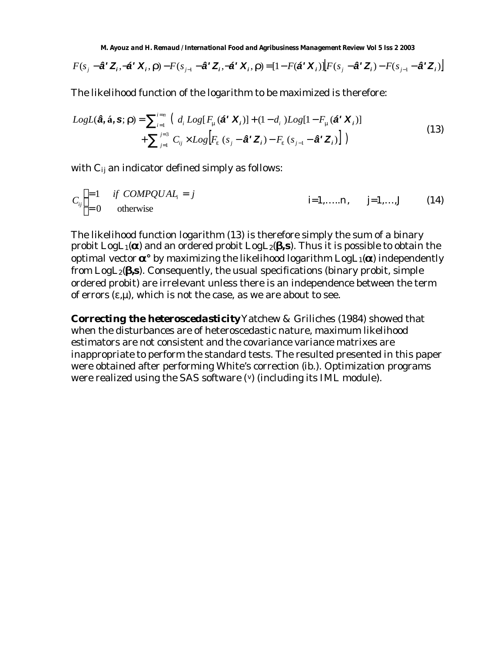$$
F(s_j - \hat{\mathbf{a}}^{\mathsf{T}} \mathbf{Z}_i, -\hat{\mathbf{a}}^{\mathsf{T}} \mathbf{X}_i, \mathbf{r}) - F(s_{j-1} - \hat{\mathbf{a}}^{\mathsf{T}} \mathbf{Z}_i, -\hat{\mathbf{a}}^{\mathsf{T}} \mathbf{X}_i, \mathbf{r}) = [1 - F(\hat{\mathbf{a}}^{\mathsf{T}} \mathbf{X}_i)] \Big[ F(s_j - \hat{\mathbf{a}}^{\mathsf{T}} \mathbf{Z}_i) - F(s_{j-1} - \hat{\mathbf{a}}^{\mathsf{T}} \mathbf{Z}_i) \Big]
$$

The likelihood function of the logarithm to be maximized is therefore:

$$
LogL(\hat{\mathbf{a}}, \hat{\mathbf{a}}, \mathbf{s}; \mathbf{r}) = \sum_{i=1}^{i=n} \left( d_i Log[F_m(\hat{\mathbf{a}}^T \mathbf{X}_i)] + (1 - d_i) Log[1 - F_m(\hat{\mathbf{a}}^T \mathbf{X}_i)] + \sum_{j=1}^{j=3} C_{ij} \times Log[F_e(s_j - \hat{\mathbf{a}}^T \mathbf{Z}_i) - F_e(s_{j-1} - \hat{\mathbf{a}}^T \mathbf{Z}_i)] \right)
$$
(13)

with *Cij* an indicator defined simply as follows:

$$
C_{ij}\begin{cases} =1 & \text{if } COMPQUAL_i = j \\ =0 & \text{otherwise} \end{cases}
$$
  $i=1, ..., n, \quad j=1, ..., J$  (14)

The likelihood function logarithm (13) is therefore simply the sum of a binary probit  $LogL_1(\mathbf{a})$  and an ordered probit  $LogL_2(\mathbf{b}, \mathbf{s})$ . Thus it is possible to obtain the optimal vector *a°* by maximizing the likelihood logarithm *LogL1(a)* independently from *LogL2*(*b,s*). Consequently, the usual specifications (binary probit, simple ordered probit) are irrelevant unless there is an independence between the term of errors  $(\epsilon, \mu)$ , which is not the case, as we are about to see.

*Correcting the heteroscedasticity* Yatchew & Griliches (1984) showed that when the disturbances are of heteroscedastic nature, maximum likelihood estimators are not consistent and the covariance variance matrixes are inappropriate to perform the standard tests. The resulted presented in this paper were obtained after performing White's correction (*ib*.). Optimization programs were realized using the SAS software (v) (including its IML module).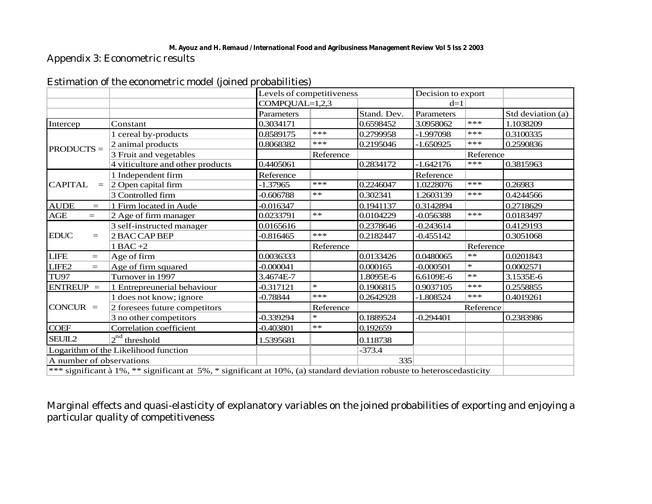#### *M. Ayouz and H. Remaud / International Food and Agribusiness Management Review Vol 5 Iss 2 2003*

Appendix 3: Econometric results

| Estimation of the econometric model (joined probabilities) |
|------------------------------------------------------------|
|------------------------------------------------------------|

|                                                                                                                        |                                  |                  | Levels of competitiveness |             | Decision to export |           |                   |
|------------------------------------------------------------------------------------------------------------------------|----------------------------------|------------------|---------------------------|-------------|--------------------|-----------|-------------------|
|                                                                                                                        |                                  | $COMPQUAL=1,2,3$ |                           |             | $d=1$              |           |                   |
|                                                                                                                        |                                  | Parameters       |                           | Stand. Dev. | Parameters         |           | Std deviation (a) |
| Intercep                                                                                                               | Constant                         | 0.3034171        |                           | 0.6598452   | 3.0958062          | ***       | 1.1038209         |
|                                                                                                                        | 1 cereal by-products             | 0.8589175        | ***                       | 0.2799958   | $-1.997098$        | ***       | 0.3100335         |
| $PRODUCTS =$                                                                                                           | 2 animal products                | 0.8068382        | $***$                     | 0.2195046   | $-1.650925$        | ***       | 0.2590836         |
|                                                                                                                        | 3 Fruit and vegetables           |                  | Reference                 |             | Reference          |           |                   |
|                                                                                                                        | 4 viticulture and other products | 0.4405061        |                           | 0.2834172   | $-1.642176$        | ***       | 0.3815963         |
|                                                                                                                        | 1 Independent firm               | Reference        |                           |             | Reference          |           |                   |
| <b>CAPITAL</b><br>$=$                                                                                                  | 2 Open capital firm              | $-1.37965$       | $***$                     | 0.2246047   | 1.0228076          | ***       | 0.26983           |
|                                                                                                                        | 3 Controlled firm                | $-0.606788$      | $**$                      | 0.302341    | 1.2603139          | ***       | 0.4244566         |
| <b>AUDE</b><br>$=$                                                                                                     | 1 Firm located in Aude           | $-0.016347$      |                           | 0.1941137   | 0.3142894          |           | 0.2718629         |
| AGE<br>$=$                                                                                                             | 2 Age of firm manager            | 0.0233791        | $***$                     | 0.0104229   | $-0.056388$        | $***$     | 0.0183497         |
|                                                                                                                        | 3 self-instructed manager        | 0.0165616        |                           | 0.2378646   | $-0.243614$        |           | 0.4129193         |
| <b>EDUC</b><br>$\!\!\!=\!\!\!$                                                                                         | 2 BAC CAP BEP                    | $-0.816465$      | $***$                     | 0.2182447   | $-0.455142$        |           | 0.3051068         |
|                                                                                                                        | $1$ BAC $+2$                     |                  | Reference                 |             |                    | Reference |                   |
| <b>LIFE</b><br>$=$                                                                                                     | Age of firm                      | 0.0036333        |                           | 0.0133426   | 0.0480065          | $**$      | 0.0201843         |
| LIFE2<br>$=$                                                                                                           | Age of firm squared              | $-0.000041$      |                           | 0.000165    | $-0.000501$        | $\ast$    | 0.0002571         |
| <b>TU97</b>                                                                                                            | Turnover in 1997                 | 3.4674E-7        |                           | 1.8095E-6   | 6.6109E-6          | $**$      | 3.1535E-6         |
| $ENTREUP =$                                                                                                            | 1 Entrepreunerial behaviour      | -0.317121        | $\star$                   | 0.1906815   | 0.9037105          | $***$     | 0.2558855         |
|                                                                                                                        | 1 does not know; ignore          | $-0.78844$       | ***                       | 0.2642928   | $-1.808524$        | $***$     | 0.4019261         |
| $CONCUR =$                                                                                                             | 2 foresees future competitors    |                  | Reference                 |             | Reference          |           |                   |
|                                                                                                                        | 3 no other competitors           | $-0.339294$      | $\ast$                    | 0.1889524   | $-0.294401$        |           | 0.2383986         |
| <b>COEF</b>                                                                                                            | Correlation coefficient          | $-0.403801$      | $**$                      | 0.192659    |                    |           |                   |
| $2^{nd}$ threshold<br>SEUIL2                                                                                           |                                  | 1.5395681        |                           | 0.118738    |                    |           |                   |
| Logarithm of the Likelihood function                                                                                   |                                  |                  |                           | $-373.4$    |                    |           |                   |
|                                                                                                                        | A number of observations         |                  |                           | 335         |                    |           |                   |
| *** significant à 1%, ** significant at 5%, * significant at 10%, (a) standard deviation robuste to heteroscedasticity |                                  |                  |                           |             |                    |           |                   |

Marginal effects and quasi-elasticity of explanatory variables on the joined probabilities of exporting and enjoying a particular quality of competitiveness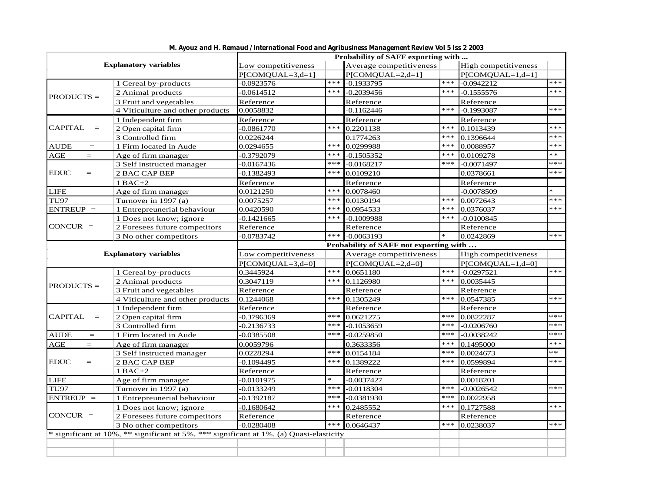| <b>Explanatory variables</b>                                            |                                                                                         | Probability of SAFF exporting with                                                                                                                                                                                                                                                                                                                                                                                                                                                                                                                                                                                                                                                                                                                                                                                                                                                                                                                                                      |                                                                                                                                                                                                                                                                                                                                                                                                                                                                                                                                                     |                         |       |                      |        |  |  |
|-------------------------------------------------------------------------|-----------------------------------------------------------------------------------------|-----------------------------------------------------------------------------------------------------------------------------------------------------------------------------------------------------------------------------------------------------------------------------------------------------------------------------------------------------------------------------------------------------------------------------------------------------------------------------------------------------------------------------------------------------------------------------------------------------------------------------------------------------------------------------------------------------------------------------------------------------------------------------------------------------------------------------------------------------------------------------------------------------------------------------------------------------------------------------------------|-----------------------------------------------------------------------------------------------------------------------------------------------------------------------------------------------------------------------------------------------------------------------------------------------------------------------------------------------------------------------------------------------------------------------------------------------------------------------------------------------------------------------------------------------------|-------------------------|-------|----------------------|--------|--|--|
|                                                                         |                                                                                         | Low competitiveness                                                                                                                                                                                                                                                                                                                                                                                                                                                                                                                                                                                                                                                                                                                                                                                                                                                                                                                                                                     |                                                                                                                                                                                                                                                                                                                                                                                                                                                                                                                                                     | Average competitiveness |       | High competitiveness |        |  |  |
|                                                                         |                                                                                         | $P[COMQUAL = 3,d=1]$                                                                                                                                                                                                                                                                                                                                                                                                                                                                                                                                                                                                                                                                                                                                                                                                                                                                                                                                                                    |                                                                                                                                                                                                                                                                                                                                                                                                                                                                                                                                                     | P[COMQUAL=2,d=1]        |       | $P[COMQUAL=1,d=1]$   |        |  |  |
|                                                                         | 1 Cereal by-products                                                                    | $-0.0923576$                                                                                                                                                                                                                                                                                                                                                                                                                                                                                                                                                                                                                                                                                                                                                                                                                                                                                                                                                                            | ***                                                                                                                                                                                                                                                                                                                                                                                                                                                                                                                                                 | $-0.1933795$            | $***$ | $-0.0942212$         | ***    |  |  |
| $PRODUCTS =$                                                            | 2 Animal products                                                                       | $-0.0614512$                                                                                                                                                                                                                                                                                                                                                                                                                                                                                                                                                                                                                                                                                                                                                                                                                                                                                                                                                                            | ***                                                                                                                                                                                                                                                                                                                                                                                                                                                                                                                                                 | $-0.2039456$            | ***   | $-0.1555576$         | ***    |  |  |
|                                                                         | 3 Fruit and vegetables                                                                  | Reference                                                                                                                                                                                                                                                                                                                                                                                                                                                                                                                                                                                                                                                                                                                                                                                                                                                                                                                                                                               |                                                                                                                                                                                                                                                                                                                                                                                                                                                                                                                                                     | Reference               |       | Reference            |        |  |  |
|                                                                         | 4 Viticulture and other products                                                        | 0.0058832                                                                                                                                                                                                                                                                                                                                                                                                                                                                                                                                                                                                                                                                                                                                                                                                                                                                                                                                                                               |                                                                                                                                                                                                                                                                                                                                                                                                                                                                                                                                                     | $-0.1162446$            | ***   | $-0.1993087$         | ***    |  |  |
|                                                                         | 1 Independent firm                                                                      | Reference                                                                                                                                                                                                                                                                                                                                                                                                                                                                                                                                                                                                                                                                                                                                                                                                                                                                                                                                                                               |                                                                                                                                                                                                                                                                                                                                                                                                                                                                                                                                                     | Reference               |       | Reference            |        |  |  |
| <b>CAPITAL</b><br>$\quad =$                                             | 2 Open capital firm                                                                     | $-0.0861770$                                                                                                                                                                                                                                                                                                                                                                                                                                                                                                                                                                                                                                                                                                                                                                                                                                                                                                                                                                            | ***                                                                                                                                                                                                                                                                                                                                                                                                                                                                                                                                                 | 0.2201138               | ***   | 0.1013439            | ***    |  |  |
|                                                                         | 3 Controlled firm                                                                       | $***$<br>0.0226244<br>0.1396644<br>0.1774263<br>***<br>0.0299988<br>***<br>0.0088957<br>0.0294655<br>***<br>***<br>$-0.3792079$<br>0.0109278<br>$-0.1505352$<br>***<br>***<br>$-0.0167436$<br>$-0.0168217$<br>$-0.0071497$<br>***<br>$-0.1382493$<br>0.0109210<br>0.0378661<br>Reference<br>Reference<br>Reference<br>***<br>0.0078460<br>$-0.0078509$<br>0.0121250<br>***<br>***<br>0.0072643<br>0.0075257<br>0.0130194<br>***<br>***<br>0.0420590<br>0.0954533<br>0.0376037<br>$***$<br>***<br>$-0.1009988$<br>$-0.0100845$<br>$-0.1421665$<br>Reference<br>Reference<br>Reference<br>***<br>$-0.0063193$<br>$-0.0783742$<br>0.0242869<br>Probability of SAFF not exporting with<br>Low competitiveness<br>Average competitiveness<br>P[COMQUAL=2,d=0]<br>$P[COMQUAL=3,d=0]$<br>***<br>***<br>0.0651180<br>$-0.0297521$<br>0.3445924<br>***<br>0.3047119<br>***<br>0.0035445<br>0.1126980<br>Reference<br>Reference<br>Reference<br>***<br>***<br>0.0547385<br>0.1244068<br>0.1305249 |                                                                                                                                                                                                                                                                                                                                                                                                                                                                                                                                                     |                         | ***   |                      |        |  |  |
| <b>AUDE</b><br>$\hspace{0.1cm} = \hspace{0.1cm}$                        | 1 Firm located in Aude                                                                  |                                                                                                                                                                                                                                                                                                                                                                                                                                                                                                                                                                                                                                                                                                                                                                                                                                                                                                                                                                                         |                                                                                                                                                                                                                                                                                                                                                                                                                                                                                                                                                     |                         |       |                      | ***    |  |  |
| AGE<br>$=$                                                              | Age of firm manager                                                                     |                                                                                                                                                                                                                                                                                                                                                                                                                                                                                                                                                                                                                                                                                                                                                                                                                                                                                                                                                                                         |                                                                                                                                                                                                                                                                                                                                                                                                                                                                                                                                                     |                         |       |                      | $**$   |  |  |
|                                                                         | 3 Self instructed manager                                                               |                                                                                                                                                                                                                                                                                                                                                                                                                                                                                                                                                                                                                                                                                                                                                                                                                                                                                                                                                                                         |                                                                                                                                                                                                                                                                                                                                                                                                                                                                                                                                                     |                         |       |                      | ***    |  |  |
| <b>EDUC</b><br>$=$                                                      | <b>2 BAC CAP BEP</b>                                                                    |                                                                                                                                                                                                                                                                                                                                                                                                                                                                                                                                                                                                                                                                                                                                                                                                                                                                                                                                                                                         |                                                                                                                                                                                                                                                                                                                                                                                                                                                                                                                                                     |                         |       |                      | ***    |  |  |
| <b>LIFE</b><br><b>TU97</b><br>$ENTREUP =$<br>$CONCUR =$<br>$PRODUCTS =$ | $1$ BAC+2                                                                               |                                                                                                                                                                                                                                                                                                                                                                                                                                                                                                                                                                                                                                                                                                                                                                                                                                                                                                                                                                                         |                                                                                                                                                                                                                                                                                                                                                                                                                                                                                                                                                     |                         |       |                      |        |  |  |
|                                                                         | Age of firm manager                                                                     |                                                                                                                                                                                                                                                                                                                                                                                                                                                                                                                                                                                                                                                                                                                                                                                                                                                                                                                                                                                         |                                                                                                                                                                                                                                                                                                                                                                                                                                                                                                                                                     |                         |       |                      | $\ast$ |  |  |
|                                                                         | Turnover in 1997 (a)                                                                    |                                                                                                                                                                                                                                                                                                                                                                                                                                                                                                                                                                                                                                                                                                                                                                                                                                                                                                                                                                                         |                                                                                                                                                                                                                                                                                                                                                                                                                                                                                                                                                     |                         |       |                      | $***$  |  |  |
|                                                                         | 1 Entrepreunerial behaviour                                                             |                                                                                                                                                                                                                                                                                                                                                                                                                                                                                                                                                                                                                                                                                                                                                                                                                                                                                                                                                                                         |                                                                                                                                                                                                                                                                                                                                                                                                                                                                                                                                                     |                         |       |                      | ***    |  |  |
|                                                                         | 1 Does not know; ignore                                                                 |                                                                                                                                                                                                                                                                                                                                                                                                                                                                                                                                                                                                                                                                                                                                                                                                                                                                                                                                                                                         |                                                                                                                                                                                                                                                                                                                                                                                                                                                                                                                                                     |                         |       |                      |        |  |  |
|                                                                         | 2 Foresees future competitors                                                           |                                                                                                                                                                                                                                                                                                                                                                                                                                                                                                                                                                                                                                                                                                                                                                                                                                                                                                                                                                                         |                                                                                                                                                                                                                                                                                                                                                                                                                                                                                                                                                     |                         |       |                      |        |  |  |
|                                                                         | 3 No other competitors                                                                  |                                                                                                                                                                                                                                                                                                                                                                                                                                                                                                                                                                                                                                                                                                                                                                                                                                                                                                                                                                                         |                                                                                                                                                                                                                                                                                                                                                                                                                                                                                                                                                     |                         |       |                      | ***    |  |  |
|                                                                         |                                                                                         |                                                                                                                                                                                                                                                                                                                                                                                                                                                                                                                                                                                                                                                                                                                                                                                                                                                                                                                                                                                         |                                                                                                                                                                                                                                                                                                                                                                                                                                                                                                                                                     |                         |       |                      |        |  |  |
| <b>Explanatory variables</b>                                            |                                                                                         |                                                                                                                                                                                                                                                                                                                                                                                                                                                                                                                                                                                                                                                                                                                                                                                                                                                                                                                                                                                         |                                                                                                                                                                                                                                                                                                                                                                                                                                                                                                                                                     |                         |       | High competitiveness |        |  |  |
|                                                                         |                                                                                         |                                                                                                                                                                                                                                                                                                                                                                                                                                                                                                                                                                                                                                                                                                                                                                                                                                                                                                                                                                                         |                                                                                                                                                                                                                                                                                                                                                                                                                                                                                                                                                     |                         |       | $P[COMOUAL=1,d=0]$   |        |  |  |
|                                                                         | 1 Cereal by-products                                                                    |                                                                                                                                                                                                                                                                                                                                                                                                                                                                                                                                                                                                                                                                                                                                                                                                                                                                                                                                                                                         |                                                                                                                                                                                                                                                                                                                                                                                                                                                                                                                                                     |                         |       |                      | $***$  |  |  |
|                                                                         | 2 Animal products                                                                       |                                                                                                                                                                                                                                                                                                                                                                                                                                                                                                                                                                                                                                                                                                                                                                                                                                                                                                                                                                                         |                                                                                                                                                                                                                                                                                                                                                                                                                                                                                                                                                     |                         |       |                      |        |  |  |
|                                                                         | 3 Fruit and vegetables                                                                  |                                                                                                                                                                                                                                                                                                                                                                                                                                                                                                                                                                                                                                                                                                                                                                                                                                                                                                                                                                                         |                                                                                                                                                                                                                                                                                                                                                                                                                                                                                                                                                     |                         |       |                      |        |  |  |
|                                                                         | 4 Viticulture and other products                                                        |                                                                                                                                                                                                                                                                                                                                                                                                                                                                                                                                                                                                                                                                                                                                                                                                                                                                                                                                                                                         | Reference<br>Reference<br>***<br>***<br>0.0621275<br>0.0822287<br>***<br>***<br>$-0.1053659$<br>$-0.0206760$<br>***<br>$-0.0259850$<br>$***$<br>$-0.0038242$<br>***<br>0.1495000<br>0.3633356<br>***<br>***<br>0.0024673<br>0.0154184<br>0.0599894<br>***<br>0.1389222<br>***<br>Reference<br>Reference<br>$\ast$<br>$-0.0037427$<br>0.0018201<br>***<br>$***$<br>$-0.0118304$<br>$-0.0026542$<br>***<br>***<br>0.0022958<br>$-0.0381930$<br>***<br>0.1727588<br>***<br>0.2485552<br>Reference<br>Reference<br>***<br>***<br>0.0646437<br>0.0238037 |                         | ***   |                      |        |  |  |
|                                                                         | 1 Independent firm                                                                      | Reference                                                                                                                                                                                                                                                                                                                                                                                                                                                                                                                                                                                                                                                                                                                                                                                                                                                                                                                                                                               |                                                                                                                                                                                                                                                                                                                                                                                                                                                                                                                                                     |                         |       |                      |        |  |  |
| <b>CAPITAL</b><br>$=$                                                   | 2 Open capital firm                                                                     | $-0.3796369$                                                                                                                                                                                                                                                                                                                                                                                                                                                                                                                                                                                                                                                                                                                                                                                                                                                                                                                                                                            |                                                                                                                                                                                                                                                                                                                                                                                                                                                                                                                                                     |                         |       |                      | ***    |  |  |
|                                                                         | 3 Controlled firm                                                                       | $-0.2136733$                                                                                                                                                                                                                                                                                                                                                                                                                                                                                                                                                                                                                                                                                                                                                                                                                                                                                                                                                                            |                                                                                                                                                                                                                                                                                                                                                                                                                                                                                                                                                     |                         |       |                      | ***    |  |  |
| <b>AUDE</b><br>$\quad =$                                                | 1 Firm located in Aude                                                                  | $-0.0385508$                                                                                                                                                                                                                                                                                                                                                                                                                                                                                                                                                                                                                                                                                                                                                                                                                                                                                                                                                                            |                                                                                                                                                                                                                                                                                                                                                                                                                                                                                                                                                     |                         |       |                      | ***    |  |  |
| AGE<br>$=$                                                              | Age of firm manager                                                                     | 0.0059796                                                                                                                                                                                                                                                                                                                                                                                                                                                                                                                                                                                                                                                                                                                                                                                                                                                                                                                                                                               |                                                                                                                                                                                                                                                                                                                                                                                                                                                                                                                                                     |                         |       |                      | ***    |  |  |
|                                                                         | 3 Self instructed manager                                                               | 0.0228294                                                                                                                                                                                                                                                                                                                                                                                                                                                                                                                                                                                                                                                                                                                                                                                                                                                                                                                                                                               |                                                                                                                                                                                                                                                                                                                                                                                                                                                                                                                                                     |                         |       |                      | $**$   |  |  |
| <b>EDUC</b><br>$=$                                                      | 2 BAC CAP BEP                                                                           | $-0.1094495$                                                                                                                                                                                                                                                                                                                                                                                                                                                                                                                                                                                                                                                                                                                                                                                                                                                                                                                                                                            |                                                                                                                                                                                                                                                                                                                                                                                                                                                                                                                                                     |                         |       |                      | ***    |  |  |
|                                                                         | $1$ BAC+2                                                                               | Reference                                                                                                                                                                                                                                                                                                                                                                                                                                                                                                                                                                                                                                                                                                                                                                                                                                                                                                                                                                               |                                                                                                                                                                                                                                                                                                                                                                                                                                                                                                                                                     |                         |       |                      |        |  |  |
| <b>LIFE</b>                                                             | Age of firm manager                                                                     | $-0.0101975$                                                                                                                                                                                                                                                                                                                                                                                                                                                                                                                                                                                                                                                                                                                                                                                                                                                                                                                                                                            |                                                                                                                                                                                                                                                                                                                                                                                                                                                                                                                                                     |                         |       |                      |        |  |  |
| <b>TU97</b>                                                             | Turnover in 1997 (a)                                                                    | $-0.0133249$                                                                                                                                                                                                                                                                                                                                                                                                                                                                                                                                                                                                                                                                                                                                                                                                                                                                                                                                                                            |                                                                                                                                                                                                                                                                                                                                                                                                                                                                                                                                                     |                         |       |                      | ***    |  |  |
| $ENTREUP =$                                                             | 1 Entrepreunerial behaviour                                                             | $-0.1392187$                                                                                                                                                                                                                                                                                                                                                                                                                                                                                                                                                                                                                                                                                                                                                                                                                                                                                                                                                                            |                                                                                                                                                                                                                                                                                                                                                                                                                                                                                                                                                     |                         |       |                      |        |  |  |
|                                                                         | 1 Does not know; ignore                                                                 | $-0.1680642$                                                                                                                                                                                                                                                                                                                                                                                                                                                                                                                                                                                                                                                                                                                                                                                                                                                                                                                                                                            |                                                                                                                                                                                                                                                                                                                                                                                                                                                                                                                                                     |                         |       |                      | ***    |  |  |
| $CONCUR =$                                                              | 2 Foresees future competitors                                                           | Reference                                                                                                                                                                                                                                                                                                                                                                                                                                                                                                                                                                                                                                                                                                                                                                                                                                                                                                                                                                               |                                                                                                                                                                                                                                                                                                                                                                                                                                                                                                                                                     |                         |       |                      |        |  |  |
|                                                                         | 3 No other competitors                                                                  | $-0.0280408$                                                                                                                                                                                                                                                                                                                                                                                                                                                                                                                                                                                                                                                                                                                                                                                                                                                                                                                                                                            |                                                                                                                                                                                                                                                                                                                                                                                                                                                                                                                                                     |                         |       |                      | ***    |  |  |
|                                                                         | * significant at 10%, ** significant at 5%, *** significant at 1%, (a) Quasi-elasticity |                                                                                                                                                                                                                                                                                                                                                                                                                                                                                                                                                                                                                                                                                                                                                                                                                                                                                                                                                                                         |                                                                                                                                                                                                                                                                                                                                                                                                                                                                                                                                                     |                         |       |                      |        |  |  |
|                                                                         |                                                                                         |                                                                                                                                                                                                                                                                                                                                                                                                                                                                                                                                                                                                                                                                                                                                                                                                                                                                                                                                                                                         |                                                                                                                                                                                                                                                                                                                                                                                                                                                                                                                                                     |                         |       |                      |        |  |  |
|                                                                         |                                                                                         |                                                                                                                                                                                                                                                                                                                                                                                                                                                                                                                                                                                                                                                                                                                                                                                                                                                                                                                                                                                         |                                                                                                                                                                                                                                                                                                                                                                                                                                                                                                                                                     |                         |       |                      |        |  |  |

*M. Ayouz and H. Remaud / International Food and Agribusiness Management Review Vol 5 Iss 2 2003*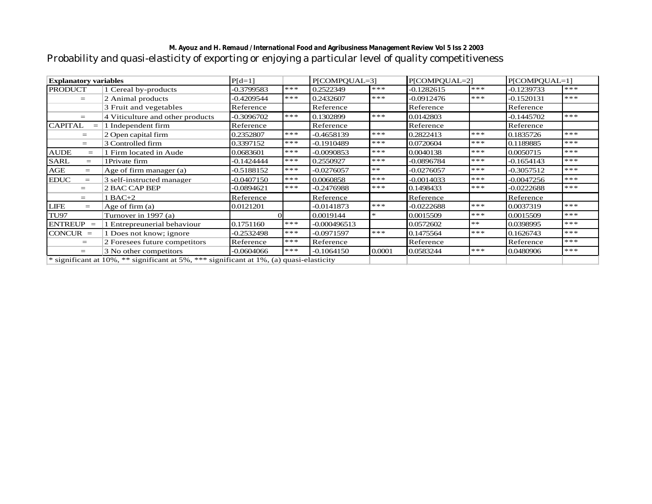## *M. Ayouz and H. Remaud / International Food and Agribusiness Management Review Vol 5 Iss 2 2003* Probability and quasi-elasticity of exporting or enjoying a particular level of quality competitiveness

| <b>Explanatory variables</b>                                                            |                                  | $P[d=1]$     |       | P[COMPOUAL=3] |        | P[COMPOUAL=2] |       | P[COMPOUAL=1] |       |
|-----------------------------------------------------------------------------------------|----------------------------------|--------------|-------|---------------|--------|---------------|-------|---------------|-------|
| <b>PRODUCT</b>                                                                          | 1 Cereal by-products             | $-0.3799583$ | ***   | 0.2522349     | $***$  | $-0.1282615$  | ***   | $-0.1239733$  | ***   |
| $=$                                                                                     | 2 Animal products                | -0.4209544   | $***$ | 0.2432607     | ***    | -0.0912476    | $***$ | $-0.1520131$  | $***$ |
|                                                                                         | 3 Fruit and vegetables           | Reference    |       | Reference     |        | Reference     |       | Reference     |       |
| $=$                                                                                     | 4 Viticulture and other products | $-0.3096702$ | ***   | 0.1302899     | ***    | 0.0142803     |       | $-0.1445702$  | ***   |
| <b>CAPITAL</b><br>$=$                                                                   | Independent firm                 | Reference    |       | Reference     |        | Reference     |       | Reference     |       |
| $=$                                                                                     | 2 Open capital firm              | 0.2352807    | ***   | $-0.4658139$  | $***$  | 0.2822413     | $***$ | 0.1835726     | $***$ |
| $=$                                                                                     | 3 Controlled firm                | 0.3397152    | ***   | -0.1910489    | $***$  | 0.0720604     | ***   | 0.1189885     | ***   |
| <b>AUDE</b><br>$=$                                                                      | Firm located in Aude             | 0.0683601    | ***   | 0.0090853     | ***    | 0.0040138     | ***   | 0.0050715     | ***   |
| <b>SARL</b><br>$=$                                                                      | 1Private firm                    | $-0.1424444$ | ***   | 0.2550927     | ***    | -0.0896784    | ***   | $-0.1654143$  | ***   |
| AGE<br>$=$                                                                              | Age of firm manager (a)          | $-0.5188152$ | ***   | $-0.0276057$  | $**$   | $-0.0276057$  | $***$ | $-0.3057512$  | ***   |
| <b>EDUC</b><br>$=$                                                                      | 3 self-instructed manager        | -0.0407150   | ***   | 0.0060858     | ***    | -0.0014033    | ***   | $-0.0047256$  | $***$ |
|                                                                                         | 2 BAC CAP BEP                    | $-0.0894621$ | ***   | -0.2476988    | ***    | 0.1498433     | ***   | $-0.0222688$  | ***   |
| $=$                                                                                     | 1 BAC+2                          | Reference    |       | Reference     |        | Reference     |       | Reference     |       |
| <b>LIFE</b><br>$=$                                                                      | Age of firm $(a)$                | 0.0121201    |       | $-0.0141873$  | $***$  | $-0.0222688$  | $***$ | 0.0037319     | ***   |
| <b>TU97</b>                                                                             | Turnover in 1997 (a)             |              |       | 0.0019144     | $\ast$ | 0.0015509     | $***$ | 0.0015509     | $***$ |
| $ENTREUP =$                                                                             | 1 Entrepreunerial behaviour      | 0.1751160    | ***   | -0.000496513  |        | 0.0572602     | $**$  | 0.0398995     | ***   |
| $CONCUR =$                                                                              | 1 Does not know; ignore          | $-0.2532498$ | ***   | $-0.0971597$  | ***    | 0.1475564     | ***   | 0.1626743     | ***   |
| $=$                                                                                     | 2 Foresees future competitors    | Reference    | ***   | Reference     |        | Reference     |       | Reference     | ***   |
| $=$                                                                                     | 3 No other competitors           | $-0.0604066$ | ***   | $-0.1064150$  | 0.0001 | 0.0583244     | $***$ | 0.0480906     | ***   |
| * significant at 10%, ** significant at 5%, *** significant at 1%, (a) quasi-elasticity |                                  |              |       |               |        |               |       |               |       |